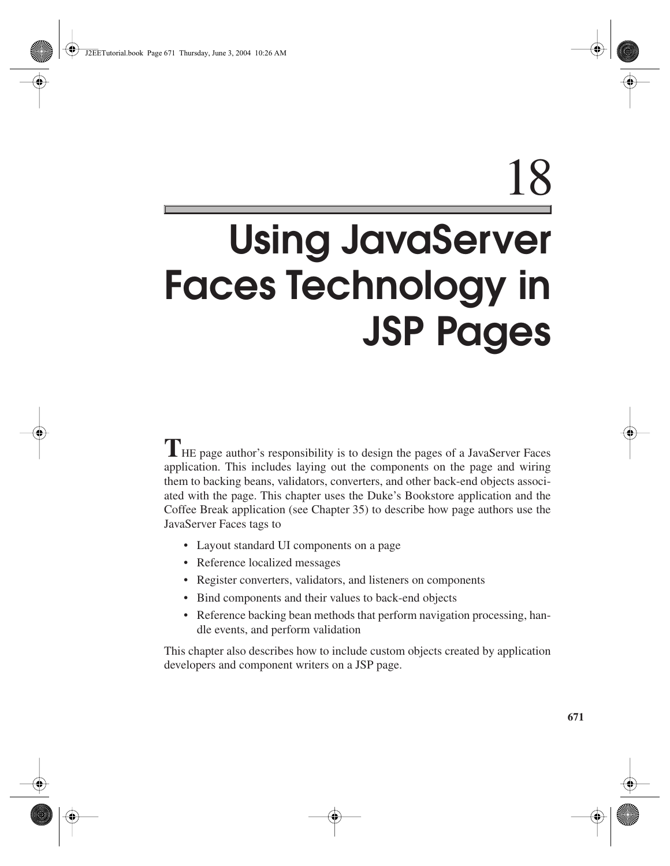# 18 **Using JavaServer Faces Technology in JSP Pages**

**T**HE page author's responsibility is to design the pages of a JavaServer Faces application. This includes laying out the components on the page and wiring them to backing beans, validators, converters, and other back-end objects associated with the page. This chapter uses the Duke's Bookstore application and the Coffee Break application (see Chapter 35) to describe how page authors use the JavaServer Faces tags to

- Layout standard UI components on a page
- Reference localized messages
- Register converters, validators, and listeners on components
- Bind components and their values to back-end objects
- Reference backing bean methods that perform navigation processing, handle events, and perform validation

This chapter also describes how to include custom objects created by application developers and component writers on a JSP page.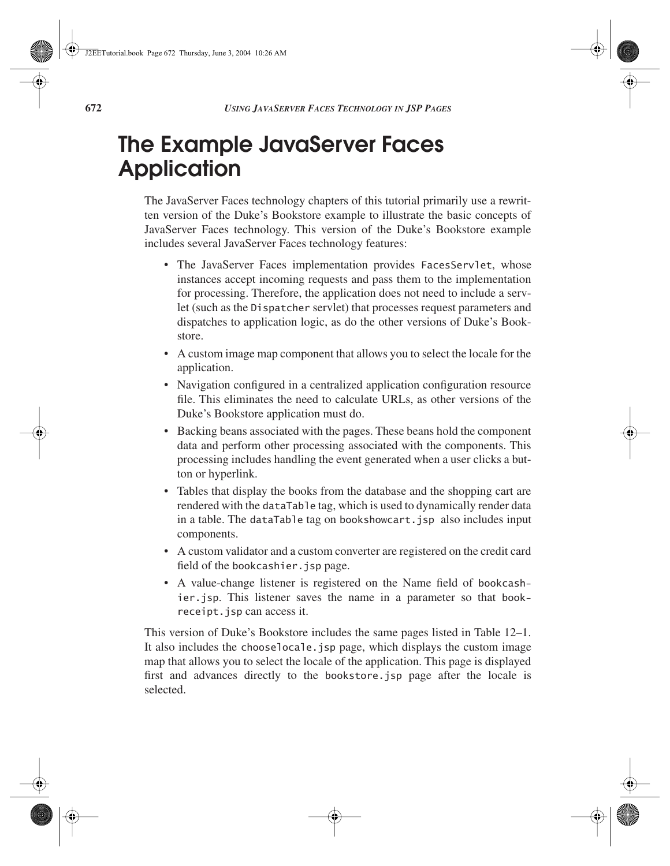## **The Example JavaServer Faces Application**

The JavaServer Faces technology chapters of this tutorial primarily use a rewritten version of the Duke's Bookstore example to illustrate the basic concepts of JavaServer Faces technology. This version of the Duke's Bookstore example includes several JavaServer Faces technology features:

- The JavaServer Faces implementation provides FacesServlet, whose instances accept incoming requests and pass them to the implementation for processing. Therefore, the application does not need to include a servlet (such as the Dispatcher servlet) that processes request parameters and dispatches to application logic, as do the other versions of Duke's Bookstore.
- A custom image map component that allows you to select the locale for the application.
- Navigation configured in a centralized application configuration resource file. This eliminates the need to calculate URLs, as other versions of the Duke's Bookstore application must do.
- Backing beans associated with the pages. These beans hold the component data and perform other processing associated with the components. This processing includes handling the event generated when a user clicks a button or hyperlink.
- Tables that display the books from the database and the shopping cart are rendered with the dataTable tag, which is used to dynamically render data in a table. The dataTable tag on bookshowcart.jsp also includes input components.
- A custom validator and a custom converter are registered on the credit card field of the bookcashier.jsp page.
- A value-change listener is registered on the Name field of bookcashier.jsp. This listener saves the name in a parameter so that bookreceipt.jsp can access it.

This version of Duke's Bookstore includes the same pages listed in Table 12–1. It also includes the chooselocale.jsp page, which displays the custom image map that allows you to select the locale of the application. This page is displayed first and advances directly to the bookstore.jsp page after the locale is selected.

J2EETutorial.book Page 672 Thursday, June 3, 2004 10:26 AM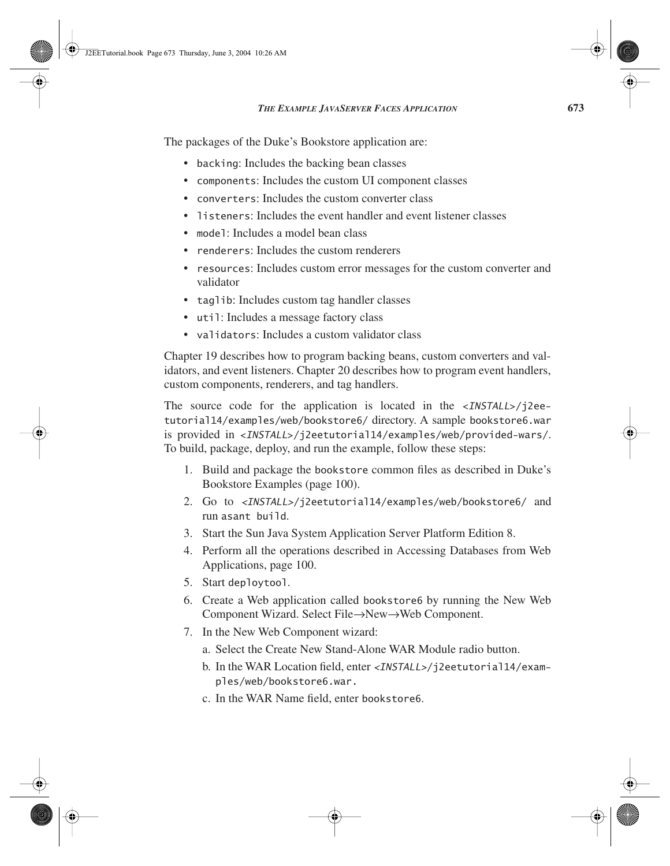### *THE EXAMPLE JAVASERVER FACES APPLICATION* **673**

The packages of the Duke's Bookstore application are:

- backing: Includes the backing bean classes
- components: Includes the custom UI component classes
- converters: Includes the custom converter class
- listeners: Includes the event handler and event listener classes
- model: Includes a model bean class
- renderers: Includes the custom renderers
- resources: Includes custom error messages for the custom converter and validator
- taglib: Includes custom tag handler classes
- util: Includes a message factory class
- validators: Includes a custom validator class

Chapter 19 describes how to program backing beans, custom converters and validators, and event listeners. Chapter 20 describes how to program event handlers, custom components, renderers, and tag handlers.

The source code for the application is located in the  $\langle INSTALL \rangle / j2ee$ tutorial14/examples/web/bookstore6/ directory. A sample bookstore6.war is provided in <INSTALL>/j2eetutorial14/examples/web/provided-wars/. To build, package, deploy, and run the example, follow these steps:

- 1. Build and package the bookstore common files as described in Duke's Bookstore Examples (page 100).
- 2. Go to <INSTALL>/j2eetutorial14/examples/web/bookstore6/ and run asant build.
- 3. Start the Sun Java System Application Server Platform Edition 8.
- 4. Perform all the operations described in Accessing Databases from Web Applications, page 100.
- 5. Start deploytool.
- 6. Create a Web application called bookstore6 by running the New Web Component Wizard. Select File→New→Web Component.
- 7. In the New Web Component wizard:
	- a. Select the Create New Stand-Alone WAR Module radio button.
	- b. In the WAR Location field, enter <INSTALL>/j2eetutorial14/examples/web/bookstore6.war.
	- c. In the WAR Name field, enter bookstore6.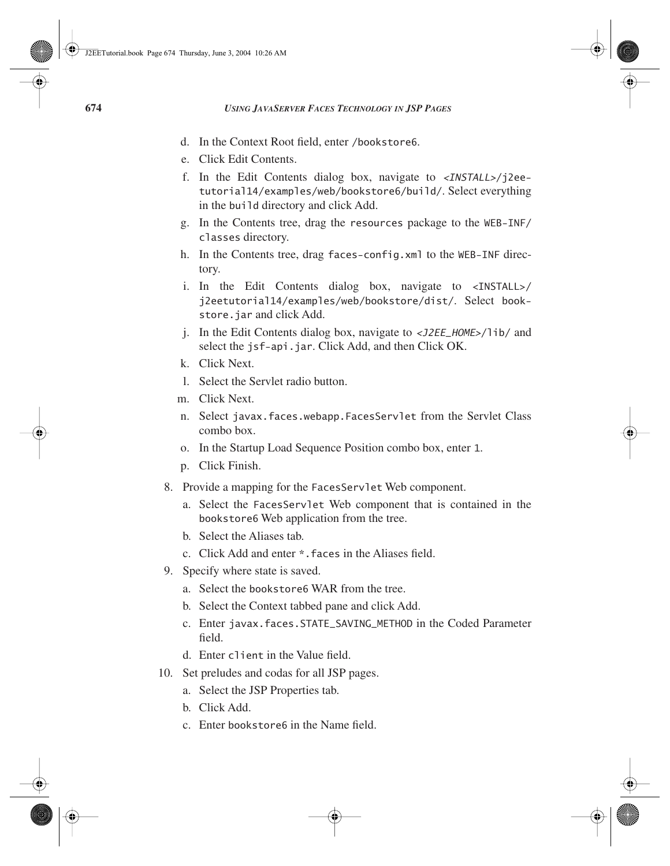- d. In the Context Root field, enter /bookstore6.
- e. Click Edit Contents.
- f. In the Edit Contents dialog box, navigate to <INSTALL>/j2eetutorial14/examples/web/bookstore6/build/. Select everything in the build directory and click Add.
- g. In the Contents tree, drag the resources package to the WEB-INF/ classes directory.
- h. In the Contents tree, drag faces-config.xml to the WEB-INF directory.
- i. In the Edit Contents dialog box, navigate to <INSTALL>/ j2eetutorial14/examples/web/bookstore/dist/. Select bookstore.jar and click Add.
- j. In the Edit Contents dialog box, navigate to <J2EE\_HOME>/lib/ and select the jsf-api.jar. Click Add, and then Click OK.
- k. Click Next.
- l. Select the Servlet radio button.
- m. Click Next.
- n. Select javax.faces.webapp.FacesServlet from the Servlet Class combo box.
- o. In the Startup Load Sequence Position combo box, enter 1.
- p. Click Finish.
- 8. Provide a mapping for the FacesServlet Web component.
	- a. Select the FacesServlet Web component that is contained in the bookstore6 Web application from the tree.
	- b. Select the Aliases tab.
	- c. Click Add and enter \*.faces in the Aliases field.
- 9. Specify where state is saved.
	- a. Select the bookstore6 WAR from the tree.
	- b. Select the Context tabbed pane and click Add.
	- c. Enter javax.faces.STATE\_SAVING\_METHOD in the Coded Parameter field.
	- d. Enter client in the Value field.
- 10. Set preludes and codas for all JSP pages.
	- a. Select the JSP Properties tab.
	- b. Click Add.
	- c. Enter bookstore6 in the Name field.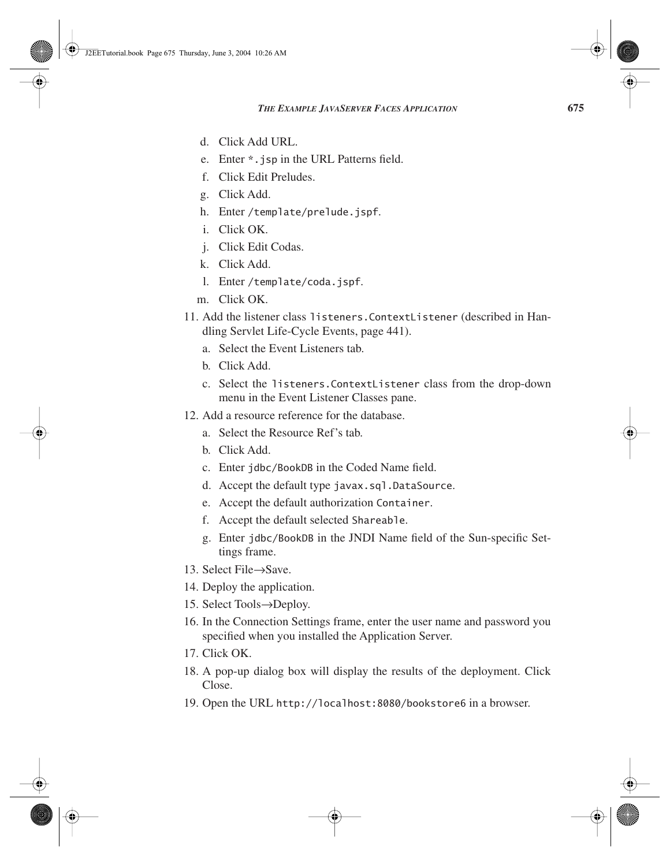### *THE EXAMPLE JAVASERVER FACES APPLICATION* **675**

- d. Click Add URL.
- e. Enter \*.jsp in the URL Patterns field.
- f. Click Edit Preludes.
- g. Click Add.
- h. Enter /template/prelude.jspf.
- i. Click OK.
- j. Click Edit Codas.
- k. Click Add.
- l. Enter /template/coda.jspf.
- m. Click OK.
- 11. Add the listener class listeners.ContextListener (described in Handling Servlet Life-Cycle Events, page 441).
	- a. Select the Event Listeners tab.
	- b. Click Add.
	- c. Select the listeners.ContextListener class from the drop-down menu in the Event Listener Classes pane.
- 12. Add a resource reference for the database.
	- a. Select the Resource Ref's tab.
	- b. Click Add.
	- c. Enter jdbc/BookDB in the Coded Name field.
	- d. Accept the default type javax.sql.DataSource.
	- e. Accept the default authorization Container.
	- f. Accept the default selected Shareable.
	- g. Enter jdbc/BookDB in the JNDI Name field of the Sun-specific Settings frame.
- 13. Select File→Save.
- 14. Deploy the application.
- 15. Select Tools→Deploy.
- 16. In the Connection Settings frame, enter the user name and password you specified when you installed the Application Server.
- 17. Click OK.
- 18. A pop-up dialog box will display the results of the deployment. Click Close.
- 19. Open the URL http://localhost:8080/bookstore6 in a browser.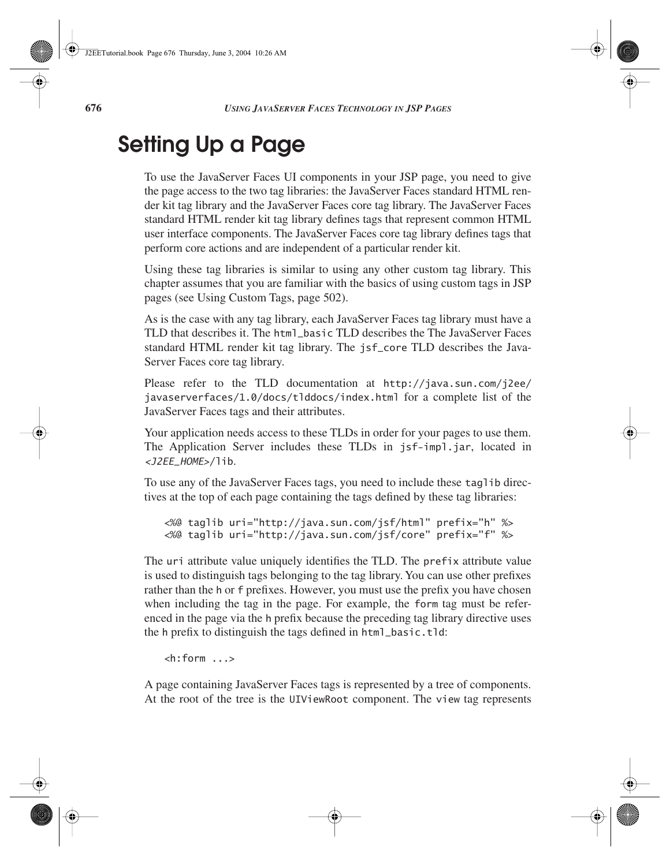## **Setting Up a Page**

J2EETutorial.book Page 676 Thursday, June 3, 2004 10:26 AM

To use the JavaServer Faces UI components in your JSP page, you need to give the page access to the two tag libraries: the JavaServer Faces standard HTML render kit tag library and the JavaServer Faces core tag library. The JavaServer Faces standard HTML render kit tag library defines tags that represent common HTML user interface components. The JavaServer Faces core tag library defines tags that perform core actions and are independent of a particular render kit.

Using these tag libraries is similar to using any other custom tag library. This chapter assumes that you are familiar with the basics of using custom tags in JSP pages (see Using Custom Tags, page 502).

As is the case with any tag library, each JavaServer Faces tag library must have a TLD that describes it. The html\_basic TLD describes the The JavaServer Faces standard HTML render kit tag library. The jsf\_core TLD describes the Java-Server Faces core tag library.

Please refer to the TLD documentation at http://java.sun.com/j2ee/ javaserverfaces/1.0/docs/tlddocs/index.html for a complete list of the JavaServer Faces tags and their attributes.

Your application needs access to these TLDs in order for your pages to use them. The Application Server includes these TLDs in jsf-impl.jar, located in <J2EE\_HOME>/lib.

To use any of the JavaServer Faces tags, you need to include these taglib directives at the top of each page containing the tags defined by these tag libraries:

<%@ taglib uri="http://java.sun.com/jsf/html" prefix="h" %> <%@ taglib uri="http://java.sun.com/jsf/core" prefix="f" %>

The uri attribute value uniquely identifies the TLD. The prefix attribute value is used to distinguish tags belonging to the tag library. You can use other prefixes rather than the h or f prefixes. However, you must use the prefix you have chosen when including the tag in the page. For example, the form tag must be referenced in the page via the h prefix because the preceding tag library directive uses the h prefix to distinguish the tags defined in html\_basic.tld:

<h:form ...>

A page containing JavaServer Faces tags is represented by a tree of components. At the root of the tree is the UIViewRoot component. The view tag represents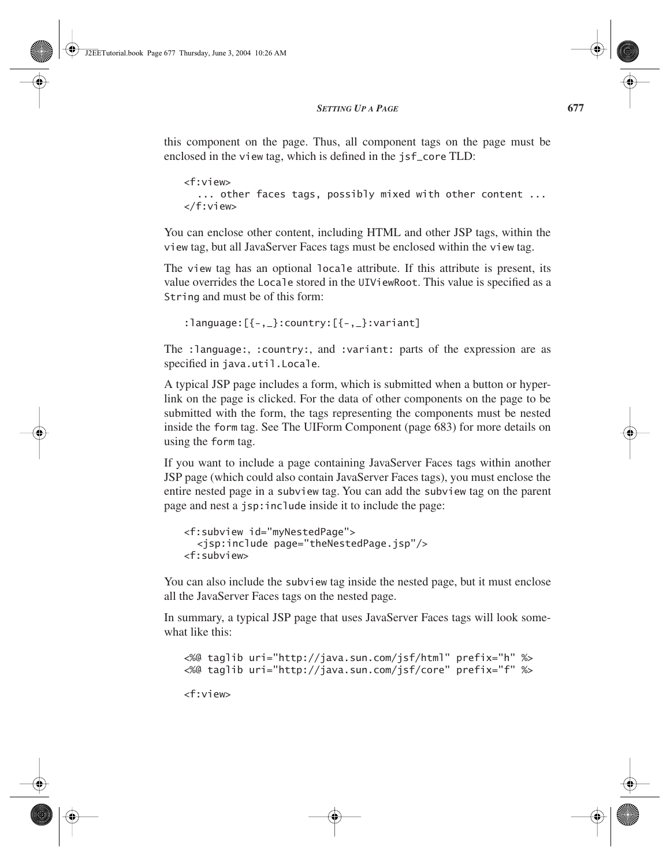### *SETTING UP A PAGE* **677**

this component on the page. Thus, all component tags on the page must be enclosed in the view tag, which is defined in the jsf\_core TLD:

```
<f:view>
  ... other faces tags, possibly mixed with other content ...
</f:view>
```
You can enclose other content, including HTML and other JSP tags, within the view tag, but all JavaServer Faces tags must be enclosed within the view tag.

The view tag has an optional locale attribute. If this attribute is present, its value overrides the Locale stored in the UIViewRoot. This value is specified as a String and must be of this form:

```
:language:[{-,_}:country:[{-,_}:variant]
```
The :language:, :country:, and :variant: parts of the expression are as specified in java.util.Locale.

A typical JSP page includes a form, which is submitted when a button or hyperlink on the page is clicked. For the data of other components on the page to be submitted with the form, the tags representing the components must be nested inside the form tag. See The UIForm Component (page 683) for more details on using the form tag.

If you want to include a page containing JavaServer Faces tags within another JSP page (which could also contain JavaServer Faces tags), you must enclose the entire nested page in a subview tag. You can add the subview tag on the parent page and nest a jsp:include inside it to include the page:

```
<f:subview id="myNestedPage">
  <jsp:include page="theNestedPage.jsp"/>
<f:subview>
```
You can also include the subview tag inside the nested page, but it must enclose all the JavaServer Faces tags on the nested page.

In summary, a typical JSP page that uses JavaServer Faces tags will look somewhat like this:

```
<%@ taglib uri="http://java.sun.com/jsf/html" prefix="h" %>
<%@ taglib uri="http://java.sun.com/jsf/core" prefix="f" %>
```
<f:view>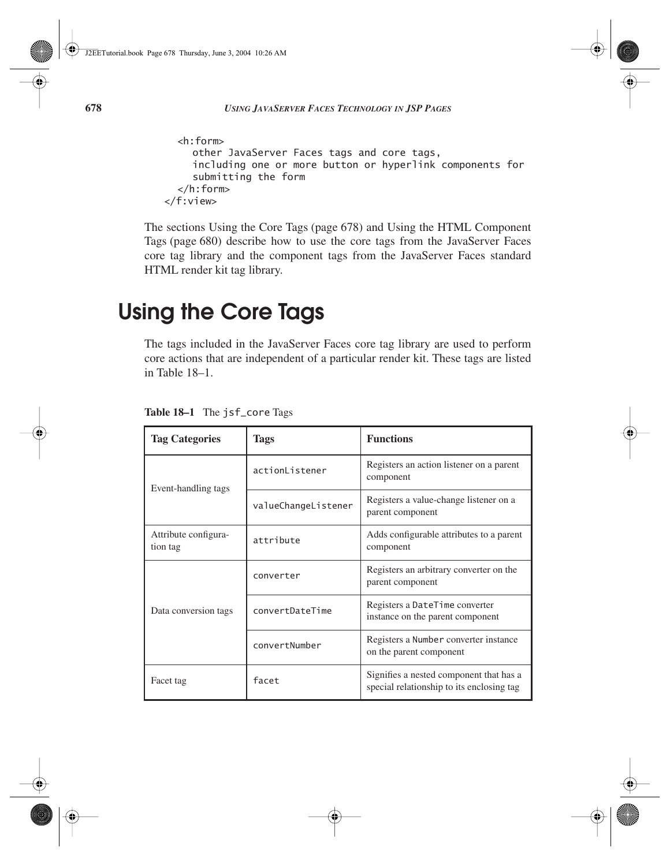```
<h:form>
    other JavaServer Faces tags and core tags, 
    including one or more button or hyperlink components for 
    submitting the form
  </h:form>
</f:view>
```
The sections Using the Core Tags (page 678) and Using the HTML Component Tags (page 680) describe how to use the core tags from the JavaServer Faces core tag library and the component tags from the JavaServer Faces standard HTML render kit tag library.

## **Using the Core Tags**

The tags included in the JavaServer Faces core tag library are used to perform core actions that are independent of a particular render kit. These tags are listed in Table 18–1.

**Table 18–1** The jsf\_core Tags

| <b>Tag Categories</b>            | Tags                | <b>Functions</b>                                                                     |  |
|----------------------------------|---------------------|--------------------------------------------------------------------------------------|--|
| Event-handling tags              | actionListener      | Registers an action listener on a parent<br>component                                |  |
|                                  | valueChangeListener | Registers a value-change listener on a<br>parent component                           |  |
| Attribute configura-<br>tion tag | attribute           | Adds configurable attributes to a parent<br>component                                |  |
|                                  | converter           | Registers an arbitrary converter on the<br>parent component                          |  |
| Data conversion tags             | convertDateTime     | Registers a DateTime converter<br>instance on the parent component                   |  |
|                                  | convertNumber       | Registers a Number converter instance<br>on the parent component                     |  |
| Facet tag                        | facet               | Signifies a nested component that has a<br>special relationship to its enclosing tag |  |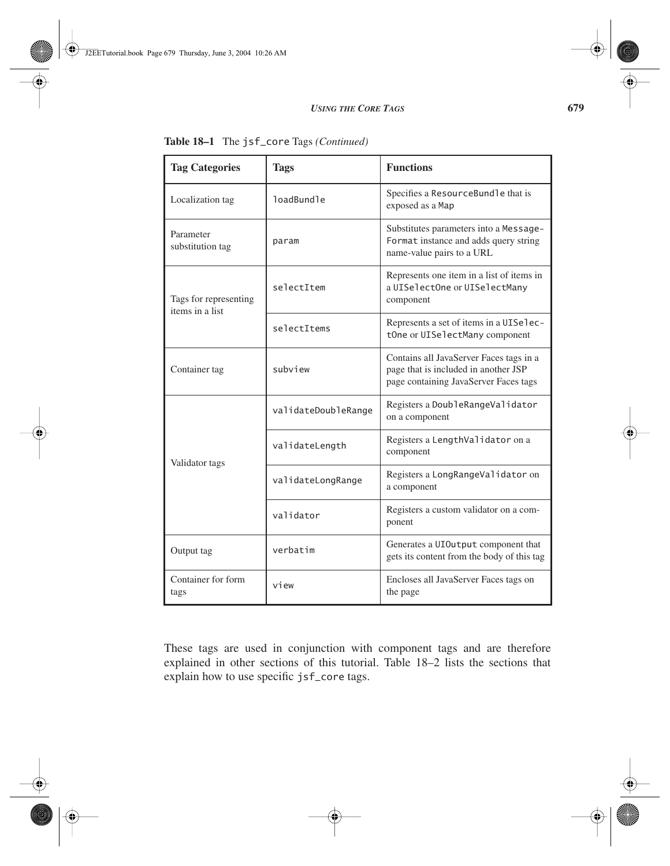### *USING THE CORE TAGS* **679**

| <b>Tag Categories</b>                    | <b>Tags</b>                                                                              | <b>Functions</b>                                                                                                         |  |
|------------------------------------------|------------------------------------------------------------------------------------------|--------------------------------------------------------------------------------------------------------------------------|--|
| Localization tag                         | loadBundle                                                                               | Specifies a ResourceBundle that is<br>exposed as a Map                                                                   |  |
| Parameter<br>substitution tag            | param                                                                                    | Substitutes parameters into a Message-<br>Format instance and adds query string<br>name-value pairs to a URL             |  |
| Tags for representing<br>items in a list | selectItem                                                                               | Represents one item in a list of items in<br>a UISelectOne or UISelectMany<br>component                                  |  |
|                                          | Represents a set of items in a UISelec-<br>selectItems<br>tOne or UISelectMany component |                                                                                                                          |  |
| Container tag                            | subview                                                                                  | Contains all JavaServer Faces tags in a<br>page that is included in another JSP<br>page containing JavaServer Faces tags |  |
|                                          | validateDoubleRange                                                                      | Registers a DoubleRangeValidator<br>on a component                                                                       |  |
| Validator tags                           | validateLength                                                                           | Registers a LengthValidator on a<br>component                                                                            |  |
|                                          | validateLongRange                                                                        | Registers a LongRangeValidator on<br>a component                                                                         |  |
|                                          | validator                                                                                | Registers a custom validator on a com-<br>ponent                                                                         |  |
| Output tag                               | verbatim                                                                                 | Generates a UIOutput component that<br>gets its content from the body of this tag                                        |  |
| Container for form<br>tags               | view                                                                                     | Encloses all JavaServer Faces tags on<br>the page                                                                        |  |

**Table 18–1** The jsf\_core Tags *(Continued)*

These tags are used in conjunction with component tags and are therefore explained in other sections of this tutorial. Table 18–2 lists the sections that explain how to use specific jsf\_core tags.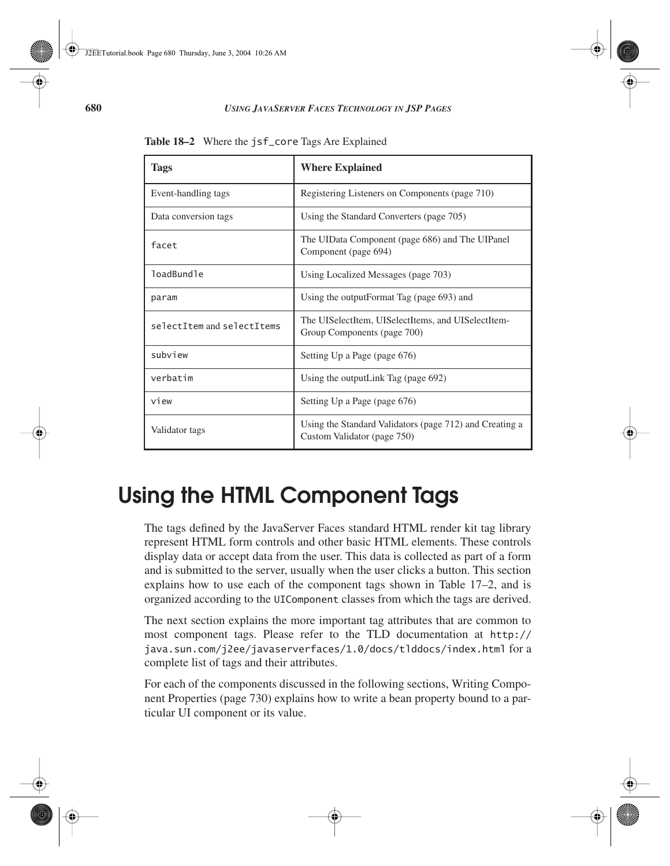| Table 18-2 Where the jsf_core Tags Are Explained |  |  |
|--------------------------------------------------|--|--|
|                                                  |  |  |

| <b>Tags</b>                | <b>Where Explained</b>                                                                 |
|----------------------------|----------------------------------------------------------------------------------------|
| Event-handling tags        | Registering Listeners on Components (page 710)                                         |
| Data conversion tags       | Using the Standard Converters (page 705)                                               |
| facet                      | The UIData Component (page 686) and The UIPanel<br>Component (page 694)                |
| loadBundle                 | Using Localized Messages (page 703)                                                    |
| param                      | Using the outputFormat Tag (page 693) and                                              |
| selectItem and selectItems | The UISelectItem, UISelectItems, and UISelectItem-<br>Group Components (page 700)      |
| subview                    | Setting Up a Page (page 676)                                                           |
| verbatim                   | Using the output Link Tag (page 692)                                                   |
| view                       | Setting Up a Page (page 676)                                                           |
| Validator tags             | Using the Standard Validators (page 712) and Creating a<br>Custom Validator (page 750) |

## **Using the HTML Component Tags**

The tags defined by the JavaServer Faces standard HTML render kit tag library represent HTML form controls and other basic HTML elements. These controls display data or accept data from the user. This data is collected as part of a form and is submitted to the server, usually when the user clicks a button. This section explains how to use each of the component tags shown in Table 17–2, and is organized according to the UIComponent classes from which the tags are derived.

The next section explains the more important tag attributes that are common to most component tags. Please refer to the TLD documentation at http:// java.sun.com/j2ee/javaserverfaces/1.0/docs/tlddocs/index.html for a complete list of tags and their attributes.

For each of the components discussed in the following sections, Writing Component Properties (page 730) explains how to write a bean property bound to a particular UI component or its value.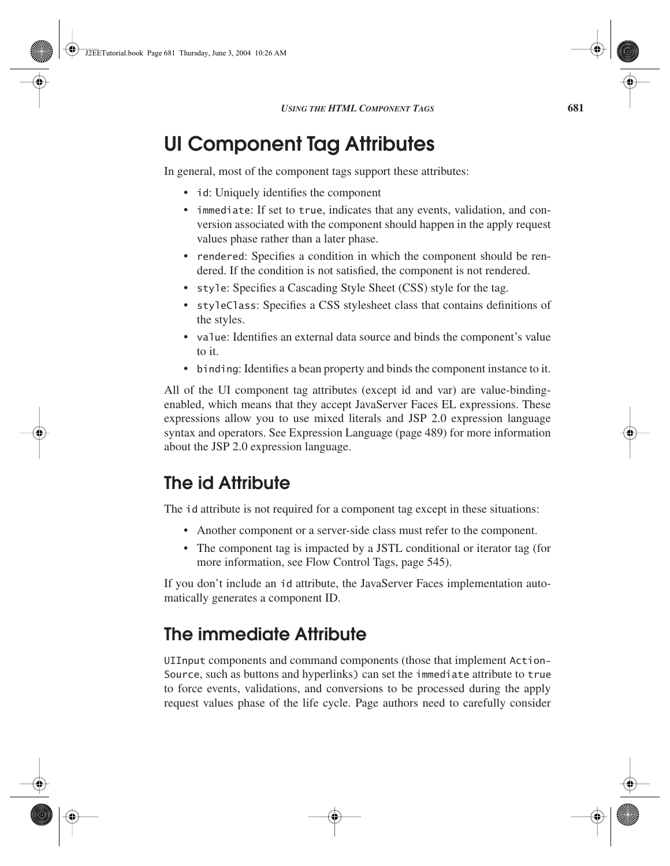**UI Component Tag Attributes**

In general, most of the component tags support these attributes:

- id: Uniquely identifies the component
- immediate: If set to true, indicates that any events, validation, and conversion associated with the component should happen in the apply request values phase rather than a later phase.
- rendered: Specifies a condition in which the component should be rendered. If the condition is not satisfied, the component is not rendered.
- style: Specifies a Cascading Style Sheet (CSS) style for the tag.
- styleClass: Specifies a CSS stylesheet class that contains definitions of the styles.
- value: Identifies an external data source and binds the component's value to it.
- binding: Identifies a bean property and binds the component instance to it.

All of the UI component tag attributes (except id and var) are value-bindingenabled, which means that they accept JavaServer Faces EL expressions. These expressions allow you to use mixed literals and JSP 2.0 expression language syntax and operators. See Expression Language (page 489) for more information about the JSP 2.0 expression language.

### **The id Attribute**

The id attribute is not required for a component tag except in these situations:

- Another component or a server-side class must refer to the component.
- The component tag is impacted by a JSTL conditional or iterator tag (for more information, see Flow Control Tags, page 545).

If you don't include an id attribute, the JavaServer Faces implementation automatically generates a component ID.

### **The immediate Attribute**

UIInput components and command components (those that implement Action-Source, such as buttons and hyperlinks) can set the immediate attribute to true to force events, validations, and conversions to be processed during the apply request values phase of the life cycle. Page authors need to carefully consider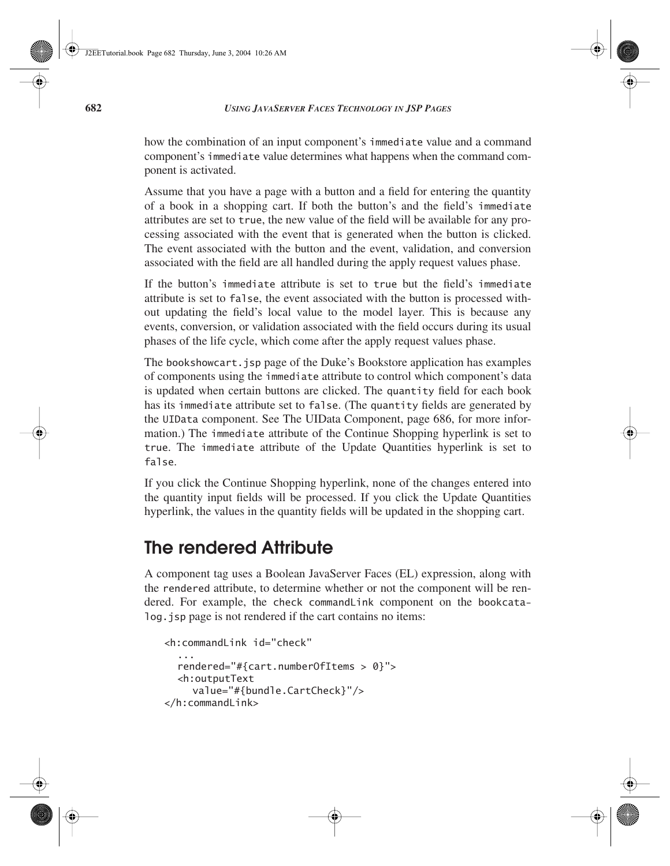how the combination of an input component's immediate value and a command component's immediate value determines what happens when the command component is activated.

Assume that you have a page with a button and a field for entering the quantity of a book in a shopping cart. If both the button's and the field's immediate attributes are set to true, the new value of the field will be available for any processing associated with the event that is generated when the button is clicked. The event associated with the button and the event, validation, and conversion associated with the field are all handled during the apply request values phase.

If the button's immediate attribute is set to true but the field's immediate attribute is set to false, the event associated with the button is processed without updating the field's local value to the model layer. This is because any events, conversion, or validation associated with the field occurs during its usual phases of the life cycle, which come after the apply request values phase.

The bookshowcart. jsp page of the Duke's Bookstore application has examples of components using the immediate attribute to control which component's data is updated when certain buttons are clicked. The quantity field for each book has its immediate attribute set to false. (The quantity fields are generated by the UIData component. See The UIData Component, page 686, for more information.) The immediate attribute of the Continue Shopping hyperlink is set to true. The immediate attribute of the Update Quantities hyperlink is set to false.

If you click the Continue Shopping hyperlink, none of the changes entered into the quantity input fields will be processed. If you click the Update Quantities hyperlink, the values in the quantity fields will be updated in the shopping cart.

### **The rendered Attribute**

A component tag uses a Boolean JavaServer Faces (EL) expression, along with the rendered attribute, to determine whether or not the component will be rendered. For example, the check commandLink component on the bookcatalog. jsp page is not rendered if the cart contains no items:

```
<h:commandLink id="check"
```

```
...
  rendered="#{cart.numberOfItems > 0}">
  <h:outputText
    value="#{bundle.CartCheck}"/>
</h:commandLink>
```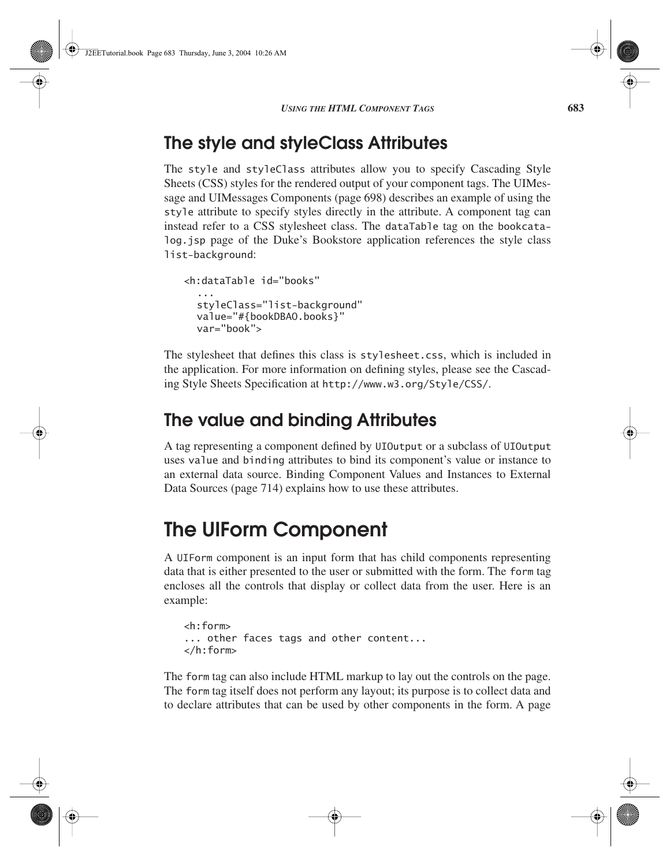*USING THE HTML COMPONENT TAGS* **683**

**The style and styleClass Attributes**

The style and styleClass attributes allow you to specify Cascading Style Sheets (CSS) styles for the rendered output of your component tags. The UIMessage and UIMessages Components (page 698) describes an example of using the style attribute to specify styles directly in the attribute. A component tag can instead refer to a CSS stylesheet class. The dataTable tag on the bookcatalog.jsp page of the Duke's Bookstore application references the style class list-background:

```
<h:dataTable id="books"
  ...
  styleClass="list-background"
  value="#{bookDBAO.books}"
  var="book">
```
The stylesheet that defines this class is stylesheet.css, which is included in the application. For more information on defining styles, please see the Cascading Style Sheets Specification at http://www.w3.org/Style/CSS/.

### **The value and binding Attributes**

A tag representing a component defined by UIOutput or a subclass of UIOutput uses value and binding attributes to bind its component's value or instance to an external data source. Binding Component Values and Instances to External Data Sources (page 714) explains how to use these attributes.

## **The UIForm Component**

A UIForm component is an input form that has child components representing data that is either presented to the user or submitted with the form. The form tag encloses all the controls that display or collect data from the user. Here is an example:

```
<h:form>
... other faces tags and other content...
</h:form>
```
The form tag can also include HTML markup to lay out the controls on the page. The form tag itself does not perform any layout; its purpose is to collect data and to declare attributes that can be used by other components in the form. A page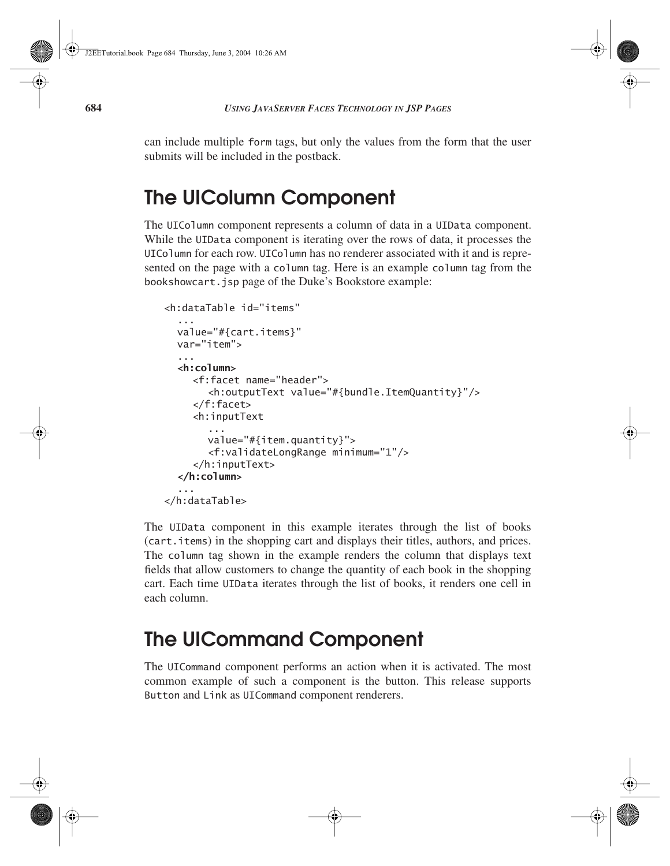can include multiple form tags, but only the values from the form that the user submits will be included in the postback.

### **The UIColumn Component**

The UIColumn component represents a column of data in a UIData component. While the UIData component is iterating over the rows of data, it processes the UIColumn for each row. UIColumn has no renderer associated with it and is represented on the page with a column tag. Here is an example column tag from the bookshowcart.jsp page of the Duke's Bookstore example:

```
<h:dataTable id="items"
  ...
  value="#{cart.items}"
  var="item">
  ...
  <h:column>
    <f:facet name="header">
       <h:outputText value="#{bundle.ItemQuantity}"/>
    </f:facet>
    <h:inputText 
       ...
       value="#{item.quantity}">
       <f:validateLongRange minimum="1"/>
     </h:inputText>
  </h:column>
  ...
</h:dataTable>
```
The UIData component in this example iterates through the list of books (cart.items) in the shopping cart and displays their titles, authors, and prices. The column tag shown in the example renders the column that displays text fields that allow customers to change the quantity of each book in the shopping cart. Each time UIData iterates through the list of books, it renders one cell in each column.

## **The UICommand Component**

The UICommand component performs an action when it is activated. The most common example of such a component is the button. This release supports Button and Link as UICommand component renderers.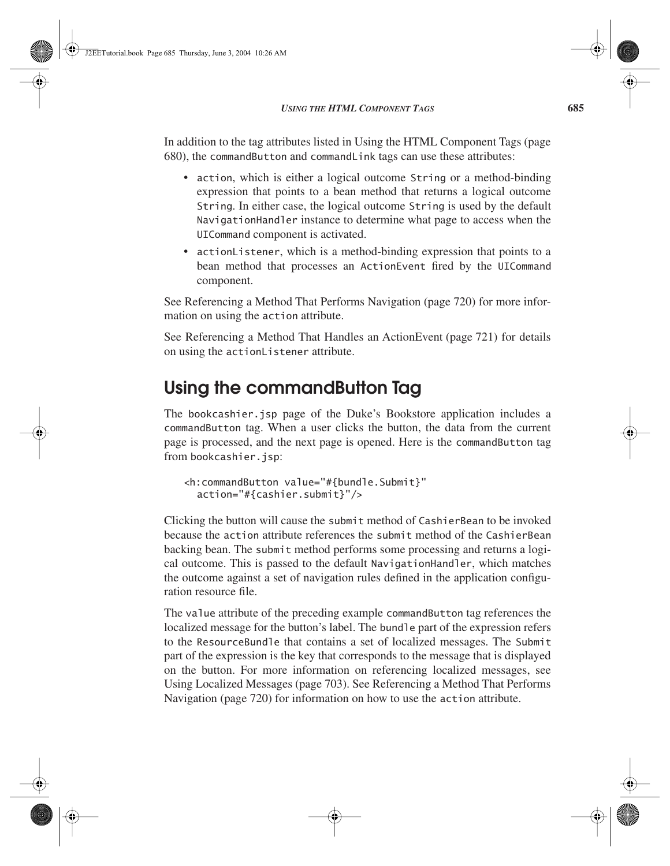In addition to the tag attributes listed in Using the HTML Component Tags (page 680), the commandButton and commandLink tags can use these attributes:

- action, which is either a logical outcome String or a method-binding expression that points to a bean method that returns a logical outcome String. In either case, the logical outcome String is used by the default NavigationHandler instance to determine what page to access when the UICommand component is activated.
- actionListener, which is a method-binding expression that points to a bean method that processes an ActionEvent fired by the UICommand component.

See Referencing a Method That Performs Navigation (page 720) for more information on using the action attribute.

See Referencing a Method That Handles an ActionEvent (page 721) for details on using the actionListener attribute.

### **Using the commandButton Tag**

The bookcashier.jsp page of the Duke's Bookstore application includes a commandButton tag. When a user clicks the button, the data from the current page is processed, and the next page is opened. Here is the commandButton tag from bookcashier.jsp:

```
<h:commandButton value="#{bundle.Submit}" 
  action="#{cashier.submit}"/>
```
Clicking the button will cause the submit method of CashierBean to be invoked because the action attribute references the submit method of the CashierBean backing bean. The submit method performs some processing and returns a logical outcome. This is passed to the default NavigationHandler, which matches the outcome against a set of navigation rules defined in the application configuration resource file.

The value attribute of the preceding example commandButton tag references the localized message for the button's label. The bundle part of the expression refers to the ResourceBundle that contains a set of localized messages. The Submit part of the expression is the key that corresponds to the message that is displayed on the button. For more information on referencing localized messages, see Using Localized Messages (page 703). See Referencing a Method That Performs Navigation (page 720) for information on how to use the action attribute.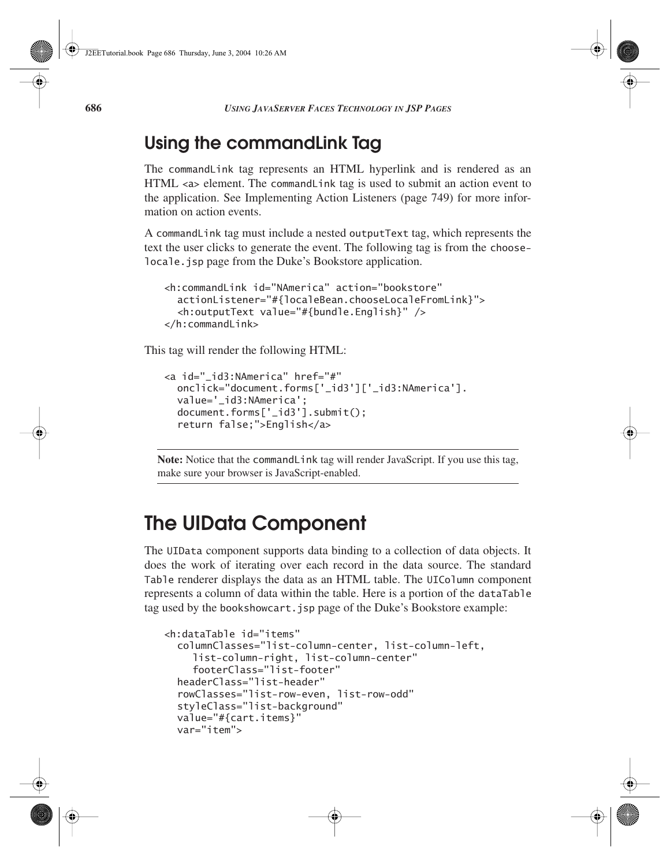### **Using the commandLink Tag**

J2EETutorial.book Page 686 Thursday, June 3, 2004 10:26 AM

The commandLink tag represents an HTML hyperlink and is rendered as an HTML <a> element. The commandLink tag is used to submit an action event to the application. See Implementing Action Listeners (page 749) for more information on action events.

A commandLink tag must include a nested outputText tag, which represents the text the user clicks to generate the event. The following tag is from the chooselocale.jsp page from the Duke's Bookstore application.

```
<h:commandLink id="NAmerica" action="bookstore" 
  actionListener="#{localeBean.chooseLocaleFromLink}"> 
  <h:outputText value="#{bundle.English}" />
</h:commandLink>
```
This tag will render the following HTML:

```
<a id="_id3:NAmerica" href="#" 
  onclick="document.forms['_id3']['_id3:NAmerica'].
  value='_id3:NAmerica'; 
  document.forms['_id3'].submit(); 
  return false;">English</a>
```
**Note:** Notice that the commandLink tag will render JavaScript. If you use this tag, make sure your browser is JavaScript-enabled.

## **The UIData Component**

The UIData component supports data binding to a collection of data objects. It does the work of iterating over each record in the data source. The standard Table renderer displays the data as an HTML table. The UIColumn component represents a column of data within the table. Here is a portion of the dataTable tag used by the bookshowcart.jsp page of the Duke's Bookstore example:

```
<h:dataTable id="items" 
  columnClasses="list-column-center, list-column-left, 
    list-column-right, list-column-center"
    footerClass="list-footer"
  headerClass="list-header"
  rowClasses="list-row-even, list-row-odd"
  styleClass="list-background"
  value="#{cart.items}"
  var="item">
```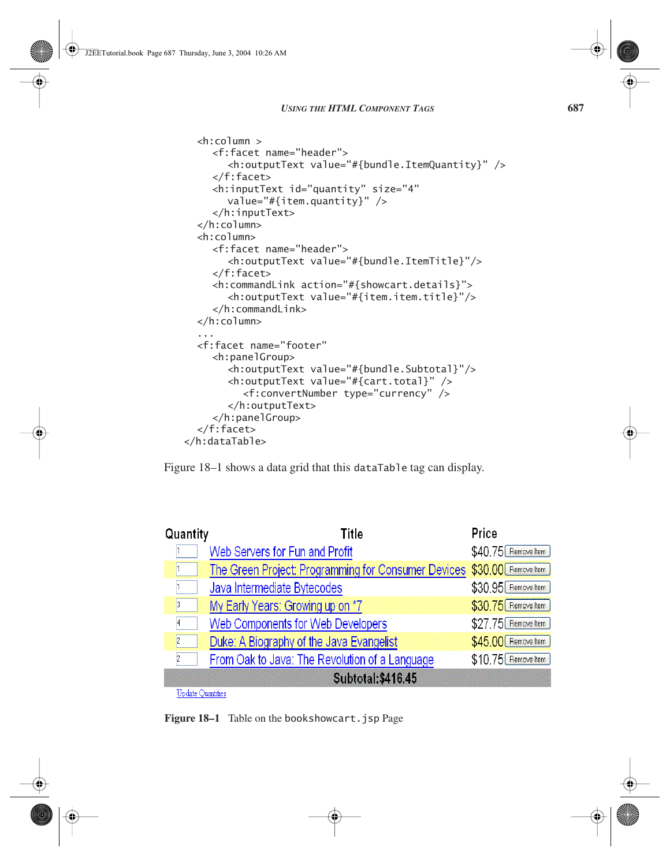J2EETutorial.book Page 687 Thursday, June 3, 2004 10:26 AM

### *USING THE HTML COMPONENT TAGS* **687**

```
<h:column >
    <f:facet name="header">
       <h:outputText value="#{bundle.ItemQuantity}" />
    </f:facet>
    <h:inputText id="quantity" size="4"
       value="#{item.quantity}" />
    </h:inputText>
  </h:column>
  <h:column>
    <f:facet name="header">
       <h:outputText value="#{bundle.ItemTitle}"/>
    </f:facet>
    <h:commandLink action="#{showcart.details}">
       <h:outputText value="#{item.item.title}"/>
    </h:commandLink>
  </h:column>
  ...
  <f:facet name="footer"
    <h:panelGroup>
       <h:outputText value="#{bundle.Subtotal}"/>
       <h:outputText value="#{cart.total}" />
          <f:convertNumber type="currency" />
       </h:outputText>
    </h:panelGroup>
  </f:facet>
</h:dataTable>
```
Figure 18–1 shows a data grid that this dataTable tag can display.

| Quantity         | Title                                                                   | Price               |
|------------------|-------------------------------------------------------------------------|---------------------|
|                  | Web Servers for Fun and Profit                                          | \$40.75 Remove Item |
|                  | The Green Project: Programming for Consumer Devices \$30.00 Remove Item |                     |
|                  | Java Intermediate Bytecodes                                             | \$30.95 Remove Item |
| 3                | My Early Years: Growing up on *7                                        | \$30.75 Remove Item |
| 4                | Web Components for Web Developers                                       | \$27.75 Remove Item |
|                  | Duke: A Biography of the Java Evangelist                                | \$45.00 Remove Item |
|                  | From Oak to Java: The Revolution of a Language                          | \$10.75 Remove Item |
|                  | <b>Subtotal: \$416.45</b>                                               |                     |
| $TT - 1 + 2 = 2$ |                                                                         |                     |

**Update Quantities** 

**Figure 18–1** Table on the bookshowcart.jsp Page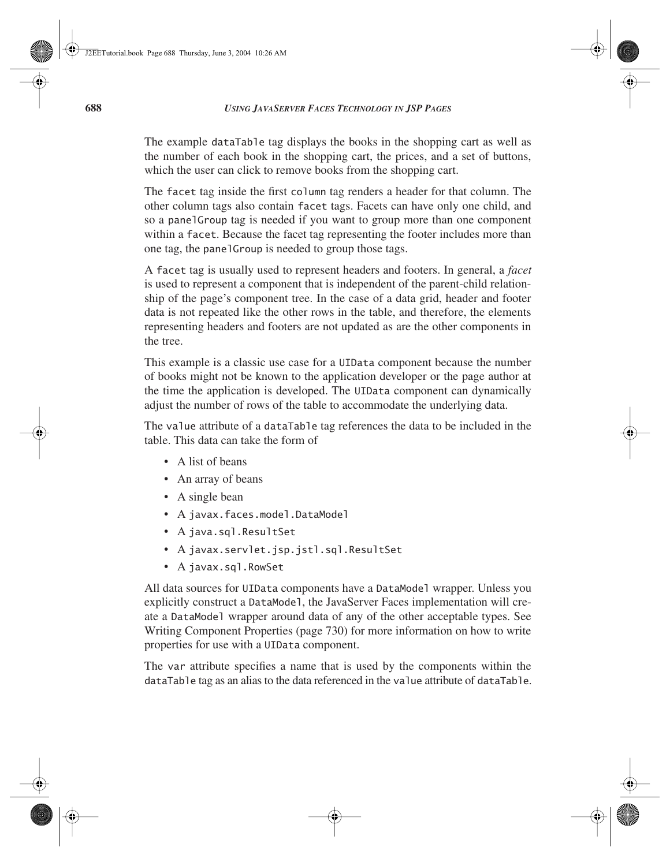The example dataTable tag displays the books in the shopping cart as well as the number of each book in the shopping cart, the prices, and a set of buttons, which the user can click to remove books from the shopping cart.

The facet tag inside the first column tag renders a header for that column. The other column tags also contain facet tags. Facets can have only one child, and so a panelGroup tag is needed if you want to group more than one component within a facet. Because the facet tag representing the footer includes more than one tag, the panelGroup is needed to group those tags.

A facet tag is usually used to represent headers and footers. In general, a *facet* is used to represent a component that is independent of the parent-child relationship of the page's component tree. In the case of a data grid, header and footer data is not repeated like the other rows in the table, and therefore, the elements representing headers and footers are not updated as are the other components in the tree.

This example is a classic use case for a UIData component because the number of books might not be known to the application developer or the page author at the time the application is developed. The UIData component can dynamically adjust the number of rows of the table to accommodate the underlying data.

The value attribute of a dataTable tag references the data to be included in the table. This data can take the form of

- A list of beans
- An array of beans
- A single bean
- A javax.faces.model.DataModel
- A java.sql.ResultSet
- A javax.servlet.jsp.jstl.sql.ResultSet
- A javax.sql.RowSet

All data sources for UIData components have a DataModel wrapper. Unless you explicitly construct a DataModel, the JavaServer Faces implementation will create a DataModel wrapper around data of any of the other acceptable types. See Writing Component Properties (page 730) for more information on how to write properties for use with a UIData component.

The var attribute specifies a name that is used by the components within the dataTable tag as an alias to the data referenced in the value attribute of dataTable.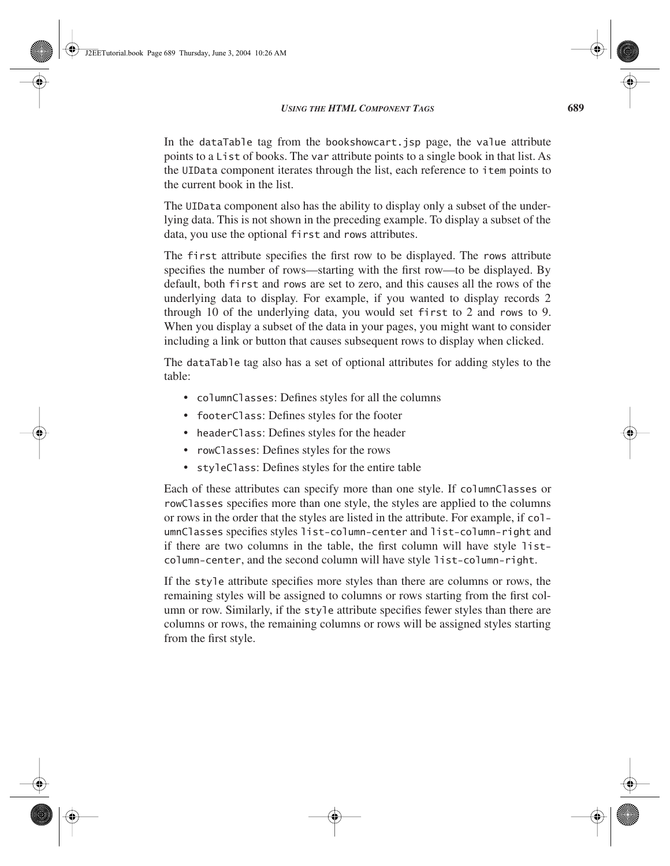#### *USING THE HTML COMPONENT TAGS* **689**

In the dataTable tag from the bookshowcart.jsp page, the value attribute points to a List of books. The var attribute points to a single book in that list. As the UIData component iterates through the list, each reference to item points to the current book in the list.

The UIData component also has the ability to display only a subset of the underlying data. This is not shown in the preceding example. To display a subset of the data, you use the optional first and rows attributes.

The first attribute specifies the first row to be displayed. The rows attribute specifies the number of rows—starting with the first row—to be displayed. By default, both first and rows are set to zero, and this causes all the rows of the underlying data to display. For example, if you wanted to display records 2 through 10 of the underlying data, you would set first to 2 and rows to 9. When you display a subset of the data in your pages, you might want to consider including a link or button that causes subsequent rows to display when clicked.

The dataTable tag also has a set of optional attributes for adding styles to the table:

- columnClasses: Defines styles for all the columns
- footerClass: Defines styles for the footer
- headerClass: Defines styles for the header
- rowClasses: Defines styles for the rows
- styleClass: Defines styles for the entire table

Each of these attributes can specify more than one style. If columnClasses or rowClasses specifies more than one style, the styles are applied to the columns or rows in the order that the styles are listed in the attribute. For example, if columnClasses specifies styles list-column-center and list-column-right and if there are two columns in the table, the first column will have style listcolumn-center, and the second column will have style list-column-right.

If the style attribute specifies more styles than there are columns or rows, the remaining styles will be assigned to columns or rows starting from the first column or row. Similarly, if the style attribute specifies fewer styles than there are columns or rows, the remaining columns or rows will be assigned styles starting from the first style.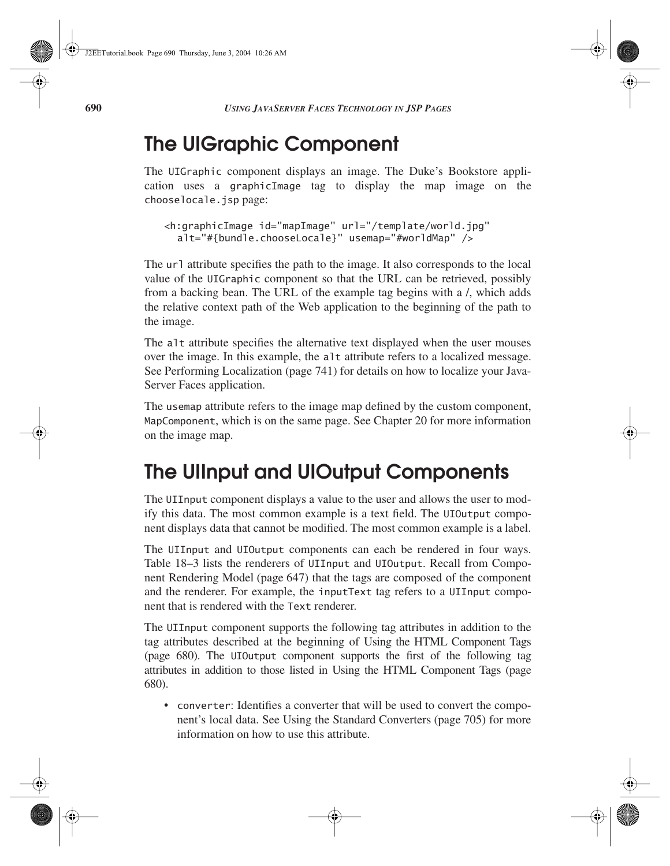## **The UIGraphic Component**

The UIGraphic component displays an image. The Duke's Bookstore application uses a graphicImage tag to display the map image on the chooselocale.jsp page:

```
<h:graphicImage id="mapImage" url="/template/world.jpg" 
  alt="#{bundle.chooseLocale}" usemap="#worldMap" />
```
The url attribute specifies the path to the image. It also corresponds to the local value of the UIGraphic component so that the URL can be retrieved, possibly from a backing bean. The URL of the example tag begins with a /, which adds the relative context path of the Web application to the beginning of the path to the image.

The alt attribute specifies the alternative text displayed when the user mouses over the image. In this example, the alt attribute refers to a localized message. See Performing Localization (page 741) for details on how to localize your Java-Server Faces application.

The usemap attribute refers to the image map defined by the custom component, MapComponent, which is on the same page. See Chapter 20 for more information on the image map.

### **The UIInput and UIOutput Components**

The UIInput component displays a value to the user and allows the user to modify this data. The most common example is a text field. The UIOutput component displays data that cannot be modified. The most common example is a label.

The UIInput and UIOutput components can each be rendered in four ways. Table 18–3 lists the renderers of UIInput and UIOutput. Recall from Component Rendering Model (page 647) that the tags are composed of the component and the renderer. For example, the inputText tag refers to a UIInput component that is rendered with the Text renderer.

The UIInput component supports the following tag attributes in addition to the tag attributes described at the beginning of Using the HTML Component Tags (page 680). The UIOutput component supports the first of the following tag attributes in addition to those listed in Using the HTML Component Tags (page 680).

• converter: Identifies a converter that will be used to convert the component's local data. See Using the Standard Converters (page 705) for more information on how to use this attribute.

J2EETutorial.book Page 690 Thursday, June 3, 2004 10:26 AM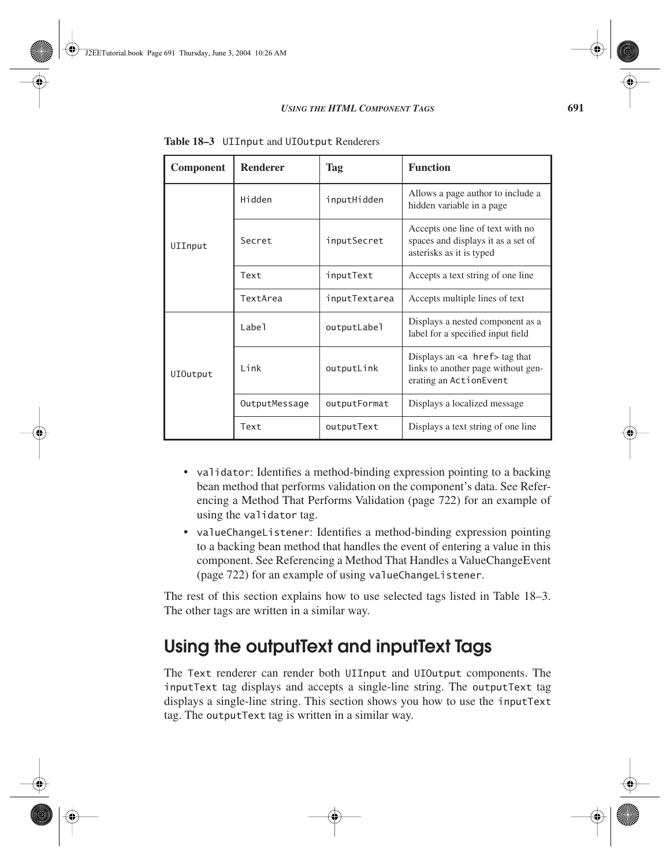### *USING THE HTML COMPONENT TAGS* **691**

| Component | <b>Renderer</b>           | Tag          | <b>Function</b>                                                                                     |  |
|-----------|---------------------------|--------------|-----------------------------------------------------------------------------------------------------|--|
|           | Hidden                    | inputHidden  | Allows a page author to include a<br>hidden variable in a page                                      |  |
| UIInput   | Secret<br>inputSecret     |              | Accepts one line of text with no<br>spaces and displays it as a set of<br>asterisks as it is typed  |  |
|           | Text<br>inputText         |              | Accepts a text string of one line                                                                   |  |
|           | TextArea<br>inputTextarea |              | Accepts multiple lines of text                                                                      |  |
|           | Labe <sub>1</sub>         | outputLabel  | Displays a nested component as a<br>label for a specified input field                               |  |
| UI0utput  | Link                      | outputLink   | Displays an $\leq a$ href> tag that<br>links to another page without gen-<br>erating an ActionEvent |  |
|           | OutputMessage             | outputFormat | Displays a localized message                                                                        |  |
|           | Text                      | outputText   | Displays a text string of one line                                                                  |  |

|  |  | Table 18-3 UIInput and UIOutput Renderers |  |
|--|--|-------------------------------------------|--|
|--|--|-------------------------------------------|--|

- validator: Identifies a method-binding expression pointing to a backing bean method that performs validation on the component's data. See Referencing a Method That Performs Validation (page 722) for an example of using the validator tag.
- valueChangeListener: Identifies a method-binding expression pointing to a backing bean method that handles the event of entering a value in this component. See Referencing a Method That Handles a ValueChangeEvent (page 722) for an example of using valueChangeListener.

The rest of this section explains how to use selected tags listed in Table 18–3. The other tags are written in a similar way.

### **Using the outputText and inputText Tags**

The Text renderer can render both UIInput and UIOutput components. The inputText tag displays and accepts a single-line string. The outputText tag displays a single-line string. This section shows you how to use the inputText tag. The outputText tag is written in a similar way.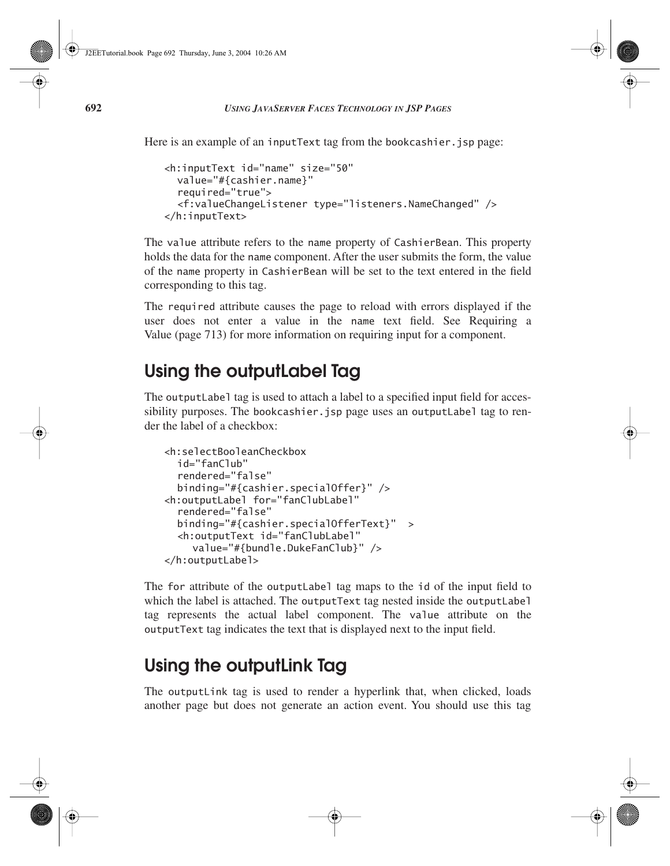Here is an example of an inputText tag from the bookcashier. jsp page:

```
<h:inputText id="name" size="50"
  value="#{cashier.name}"
  required="true"> 
  <f:valueChangeListener type="listeners.NameChanged" /> 
</h:inputText>
```
The value attribute refers to the name property of CashierBean. This property holds the data for the name component. After the user submits the form, the value of the name property in CashierBean will be set to the text entered in the field corresponding to this tag.

The required attribute causes the page to reload with errors displayed if the user does not enter a value in the name text field. See Requiring a Value (page 713) for more information on requiring input for a component.

### **Using the outputLabel Tag**

The outputLabel tag is used to attach a label to a specified input field for accessibility purposes. The bookcashier.jsp page uses an outputLabel tag to render the label of a checkbox:

```
<h:selectBooleanCheckbox 
  id="fanClub"
  rendered="false"
  binding="#{cashier.specialOffer}" />
<h:outputLabel for="fanClubLabel"
  rendered="false"
  binding="#{cashier.specialOfferText}" >
  <h:outputText id="fanClubLabel"
    value="#{bundle.DukeFanClub}" />
</h:outputLabel>
```
The for attribute of the outputLabel tag maps to the id of the input field to which the label is attached. The outputText tag nested inside the outputLabel tag represents the actual label component. The value attribute on the outputText tag indicates the text that is displayed next to the input field.

### **Using the outputLink Tag**

The outputLink tag is used to render a hyperlink that, when clicked, loads another page but does not generate an action event. You should use this tag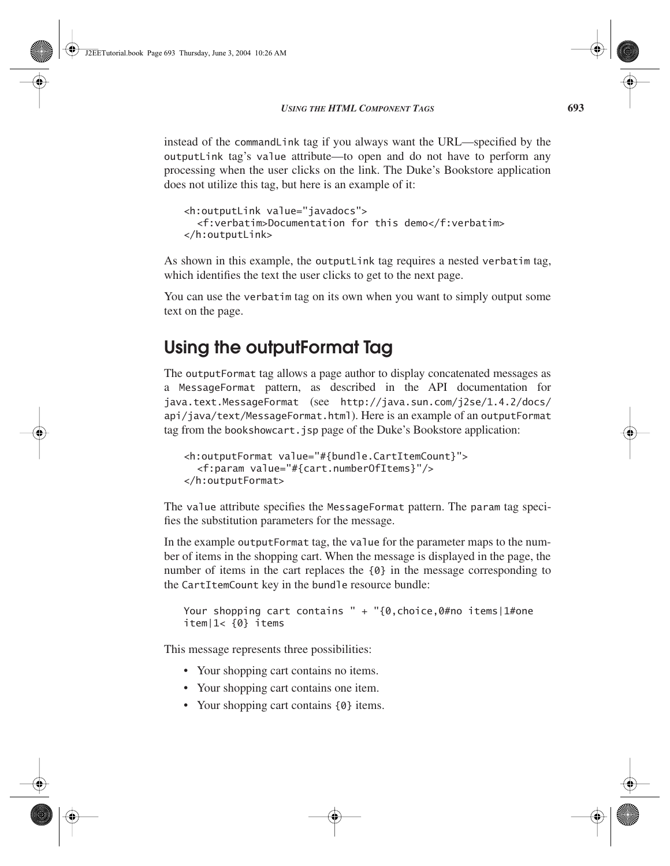### *USING THE HTML COMPONENT TAGS* **693**

instead of the commandLink tag if you always want the URL—specified by the outputLink tag's value attribute—to open and do not have to perform any processing when the user clicks on the link. The Duke's Bookstore application does not utilize this tag, but here is an example of it:

```
<h:outputLink value="javadocs">
  <f:verbatim>Documentation for this demo</f:verbatim>
</h:outputLink>
```
As shown in this example, the outputLink tag requires a nested verbatim tag, which identifies the text the user clicks to get to the next page.

You can use the verbatim tag on its own when you want to simply output some text on the page.

### **Using the outputFormat Tag**

J2EETutorial.book Page 693 Thursday, June 3, 2004 10:26 AM

The outputFormat tag allows a page author to display concatenated messages as a MessageFormat pattern, as described in the API documentation for java.text.MessageFormat (see http://java.sun.com/j2se/1.4.2/docs/ api/java/text/MessageFormat.html). Here is an example of an outputFormat tag from the bookshowcart.jsp page of the Duke's Bookstore application:

```
<h:outputFormat value="#{bundle.CartItemCount}">
  <f:param value="#{cart.numberOfItems}"/>
</h:outputFormat>
```
The value attribute specifies the MessageFormat pattern. The param tag specifies the substitution parameters for the message.

In the example outputFormat tag, the value for the parameter maps to the number of items in the shopping cart. When the message is displayed in the page, the number of items in the cart replaces the {0} in the message corresponding to the CartItemCount key in the bundle resource bundle:

Your shopping cart contains " + "{0,choice,0#no items|1#one item|1< {0} items

This message represents three possibilities:

- Your shopping cart contains no items.
- Your shopping cart contains one item.
- Your shopping cart contains  $\{0\}$  items.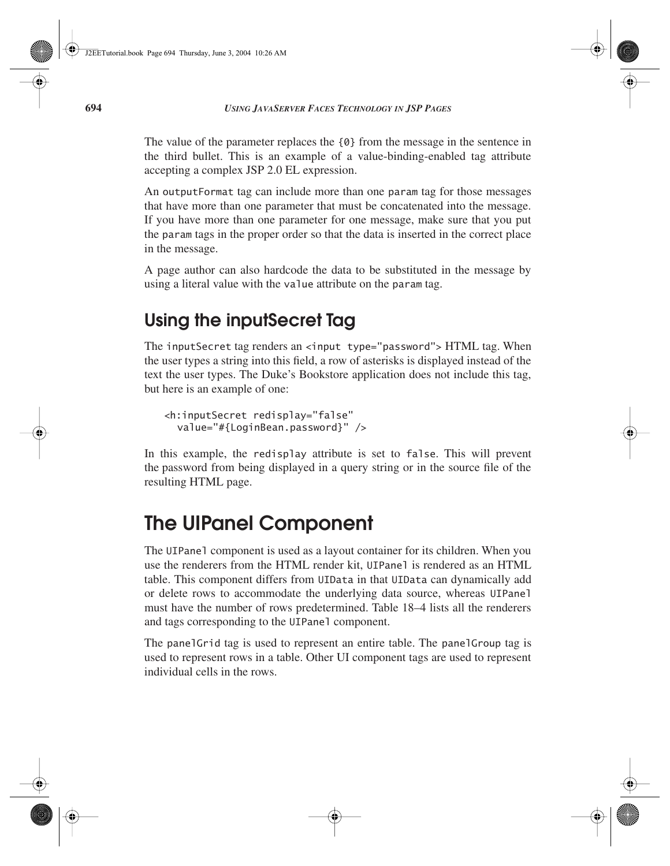The value of the parameter replaces the {0} from the message in the sentence in the third bullet. This is an example of a value-binding-enabled tag attribute accepting a complex JSP 2.0 EL expression.

An outputFormat tag can include more than one param tag for those messages that have more than one parameter that must be concatenated into the message. If you have more than one parameter for one message, make sure that you put the param tags in the proper order so that the data is inserted in the correct place in the message.

A page author can also hardcode the data to be substituted in the message by using a literal value with the value attribute on the param tag.

### **Using the inputSecret Tag**

The inputSecret tag renders an <input type="password"> HTML tag. When the user types a string into this field, a row of asterisks is displayed instead of the text the user types. The Duke's Bookstore application does not include this tag, but here is an example of one:

```
<h:inputSecret redisplay="false"
  value="#{LoginBean.password}" />
```
In this example, the redisplay attribute is set to false. This will prevent the password from being displayed in a query string or in the source file of the resulting HTML page.

### **The UIPanel Component**

The UIPanel component is used as a layout container for its children. When you use the renderers from the HTML render kit, UIPanel is rendered as an HTML table. This component differs from UIData in that UIData can dynamically add or delete rows to accommodate the underlying data source, whereas UIPanel must have the number of rows predetermined. Table 18–4 lists all the renderers and tags corresponding to the UIPanel component.

The panelGrid tag is used to represent an entire table. The panelGroup tag is used to represent rows in a table. Other UI component tags are used to represent individual cells in the rows.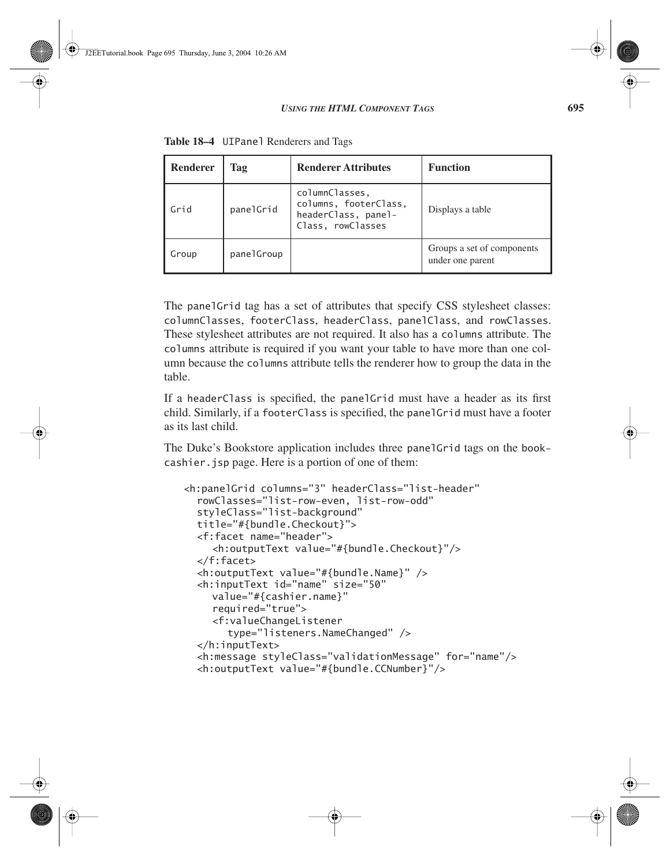| <b>Renderer</b> | Tag        | <b>Renderer Attributes</b>                                                          | <b>Function</b>                                |
|-----------------|------------|-------------------------------------------------------------------------------------|------------------------------------------------|
| Grid            | panelGrid  | columnClasses,<br>columns, footerClass,<br>headerClass, panel-<br>Class, rowClasses | Displays a table                               |
| Group           | panelGroup |                                                                                     | Groups a set of components<br>under one parent |

| Table 18-4 UIPanel Renderers and Tags |  |  |  |  |
|---------------------------------------|--|--|--|--|
|---------------------------------------|--|--|--|--|

J2EETutorial.book Page 695 Thursday, June 3, 2004 10:26 AM

The panelGrid tag has a set of attributes that specify CSS stylesheet classes: columnClasses, footerClass, headerClass, panelClass, and rowClasses. These stylesheet attributes are not required. It also has a columns attribute. The columns attribute is required if you want your table to have more than one column because the columns attribute tells the renderer how to group the data in the table.

If a headerClass is specified, the panelGrid must have a header as its first child. Similarly, if a footerClass is specified, the panelGrid must have a footer as its last child.

The Duke's Bookstore application includes three panelGrid tags on the bookcashier.jsp page. Here is a portion of one of them:

```
<h:panelGrid columns="3" headerClass="list-header"
  rowClasses="list-row-even, list-row-odd"
  styleClass="list-background"
  title="#{bundle.Checkout}">
  <f:facet name="header">
    <h:outputText value="#{bundle.Checkout}"/>
  </f:facet>
  <h:outputText value="#{bundle.Name}" />
  <h:inputText id="name" size="50" 
    value="#{cashier.name}"
    required="true"> 
    <f:valueChangeListener 
       type="listeners.NameChanged" />
  </h:inputText>
  <h:message styleClass="validationMessage" for="name"/>
  <h:outputText value="#{bundle.CCNumber}"/>
```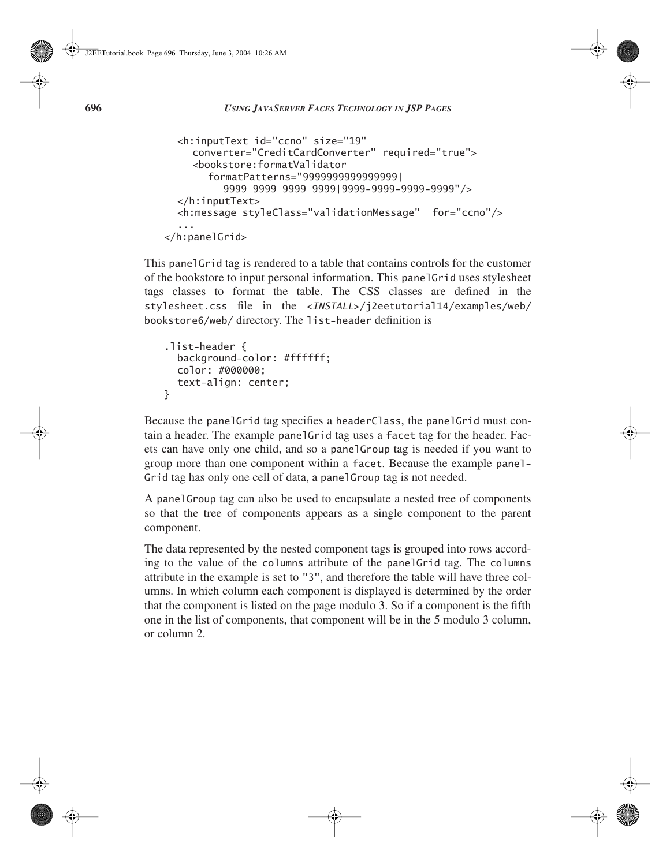```
<h:inputText id="ccno" size="19"
    converter="CreditCardConverter" required="true"> 
    <bookstore:formatValidator 
       formatPatterns="9999999999999999|
          9999 9999 9999 9999|9999-9999-9999-9999"/>
  </h:inputText>
  <h:message styleClass="validationMessage" for="ccno"/>
  ...
</h:panelGrid>
```
This panelGrid tag is rendered to a table that contains controls for the customer of the bookstore to input personal information. This panelGrid uses stylesheet tags classes to format the table. The CSS classes are defined in the stylesheet.css file in the <INSTALL>/j2eetutorial14/examples/web/ bookstore6/web/ directory. The list-header definition is

```
.list-header { 
  background-color: #ffffff;
  color: #000000;
  text-align: center;
}
```
Because the panelGrid tag specifies a headerClass, the panelGrid must contain a header. The example panelGrid tag uses a facet tag for the header. Facets can have only one child, and so a panelGroup tag is needed if you want to group more than one component within a facet. Because the example panel-Grid tag has only one cell of data, a panelGroup tag is not needed.

A panelGroup tag can also be used to encapsulate a nested tree of components so that the tree of components appears as a single component to the parent component.

The data represented by the nested component tags is grouped into rows according to the value of the columns attribute of the panelGrid tag. The columns attribute in the example is set to "3", and therefore the table will have three columns. In which column each component is displayed is determined by the order that the component is listed on the page modulo 3. So if a component is the fifth one in the list of components, that component will be in the 5 modulo 3 column, or column 2.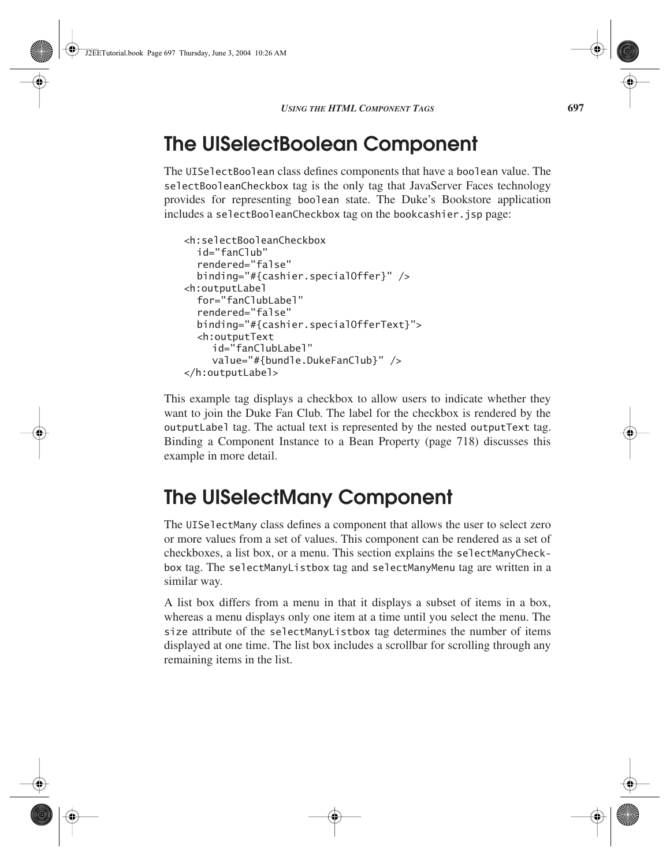**The UISelectBoolean Component**

The UISelectBoolean class defines components that have a boolean value. The selectBooleanCheckbox tag is the only tag that JavaServer Faces technology provides for representing boolean state. The Duke's Bookstore application includes a selectBooleanCheckbox tag on the bookcashier.jsp page:

```
<h:selectBooleanCheckbox 
  id="fanClub"
  rendered="false"
  binding="#{cashier.specialOffer}" />
<h:outputLabel 
  for="fanClubLabel"
  rendered="false"
  binding="#{cashier.specialOfferText}"> 
  <h:outputText 
    id="fanClubLabel"
    value="#{bundle.DukeFanClub}" />
</h:outputLabel>
```
This example tag displays a checkbox to allow users to indicate whether they want to join the Duke Fan Club. The label for the checkbox is rendered by the outputLabel tag. The actual text is represented by the nested outputText tag. Binding a Component Instance to a Bean Property (page 718) discusses this example in more detail.

### **The UISelectMany Component**

The UISelectMany class defines a component that allows the user to select zero or more values from a set of values. This component can be rendered as a set of checkboxes, a list box, or a menu. This section explains the selectManyCheckbox tag. The selectManyListbox tag and selectManyMenu tag are written in a similar way.

A list box differs from a menu in that it displays a subset of items in a box, whereas a menu displays only one item at a time until you select the menu. The size attribute of the selectManyListbox tag determines the number of items displayed at one time. The list box includes a scrollbar for scrolling through any remaining items in the list.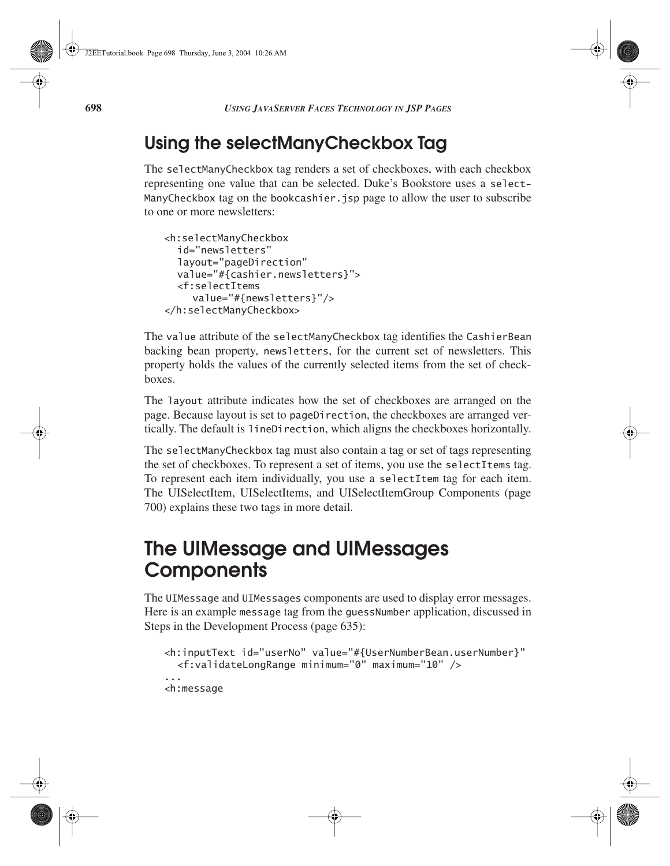## **Using the selectManyCheckbox Tag**

The selectManyCheckbox tag renders a set of checkboxes, with each checkbox representing one value that can be selected. Duke's Bookstore uses a select-ManyCheckbox tag on the bookcashier.jsp page to allow the user to subscribe to one or more newsletters:

```
<h:selectManyCheckbox
  id="newsletters"
  layout="pageDirection"
  value="#{cashier.newsletters}">
  <f:selectItems
    value="#{newsletters}"/>
</h:selectManyCheckbox>
```
The value attribute of the selectManyCheckbox tag identifies the CashierBean backing bean property, newsletters, for the current set of newsletters. This property holds the values of the currently selected items from the set of checkboxes.

The layout attribute indicates how the set of checkboxes are arranged on the page. Because layout is set to pageDirection, the checkboxes are arranged vertically. The default is lineDirection, which aligns the checkboxes horizontally.

The selectManyCheckbox tag must also contain a tag or set of tags representing the set of checkboxes. To represent a set of items, you use the selectItems tag. To represent each item individually, you use a selectItem tag for each item. The UISelectItem, UISelectItems, and UISelectItemGroup Components (page 700) explains these two tags in more detail.

## **The UIMessage and UIMessages Components**

The UIMessage and UIMessages components are used to display error messages. Here is an example message tag from the guessNumber application, discussed in Steps in the Development Process (page 635):

```
<h:inputText id="userNo" value="#{UserNumberBean.userNumber}"
  <f:validateLongRange minimum="0" maximum="10" />
...
<h:message
```
J2EETutorial.book Page 698 Thursday, June 3, 2004 10:26 AM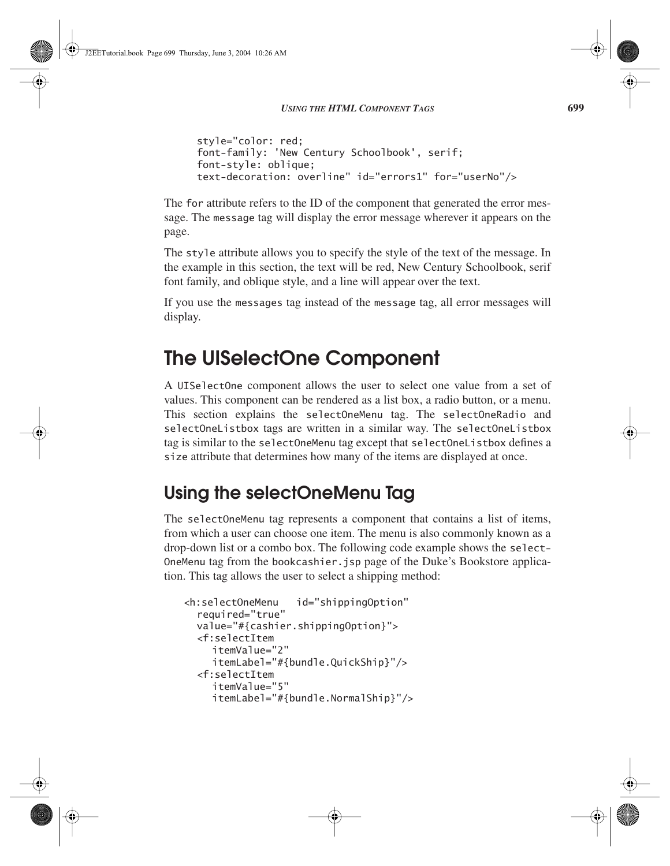*USING THE HTML COMPONENT TAGS* **699**

```
style="color: red; 
font-family: 'New Century Schoolbook', serif; 
font-style: oblique; 
text-decoration: overline" id="errors1" for="userNo"/>
```
The for attribute refers to the ID of the component that generated the error message. The message tag will display the error message wherever it appears on the page.

The style attribute allows you to specify the style of the text of the message. In the example in this section, the text will be red, New Century Schoolbook, serif font family, and oblique style, and a line will appear over the text.

If you use the messages tag instead of the message tag, all error messages will display.

## **The UISelectOne Component**

A UISelectOne component allows the user to select one value from a set of values. This component can be rendered as a list box, a radio button, or a menu. This section explains the selectOneMenu tag. The selectOneRadio and selectOneListbox tags are written in a similar way. The selectOneListbox tag is similar to the selectOneMenu tag except that selectOneListbox defines a size attribute that determines how many of the items are displayed at once.

### **Using the selectOneMenu Tag**

The selectOneMenu tag represents a component that contains a list of items, from which a user can choose one item. The menu is also commonly known as a drop-down list or a combo box. The following code example shows the select-OneMenu tag from the bookcashier.jsp page of the Duke's Bookstore application. This tag allows the user to select a shipping method:

```
<h:selectOneMenu id="shippingOption"
  required="true"
  value="#{cashier.shippingOption}">
  <f:selectItem
    itemValue="2"
    itemLabel="#{bundle.QuickShip}"/>
  <f:selectItem
    itemValue="5"
    itemLabel="#{bundle.NormalShip}"/>
```
#### J2EETutorial.book Page 699 Thursday, June 3, 2004 10:26 AM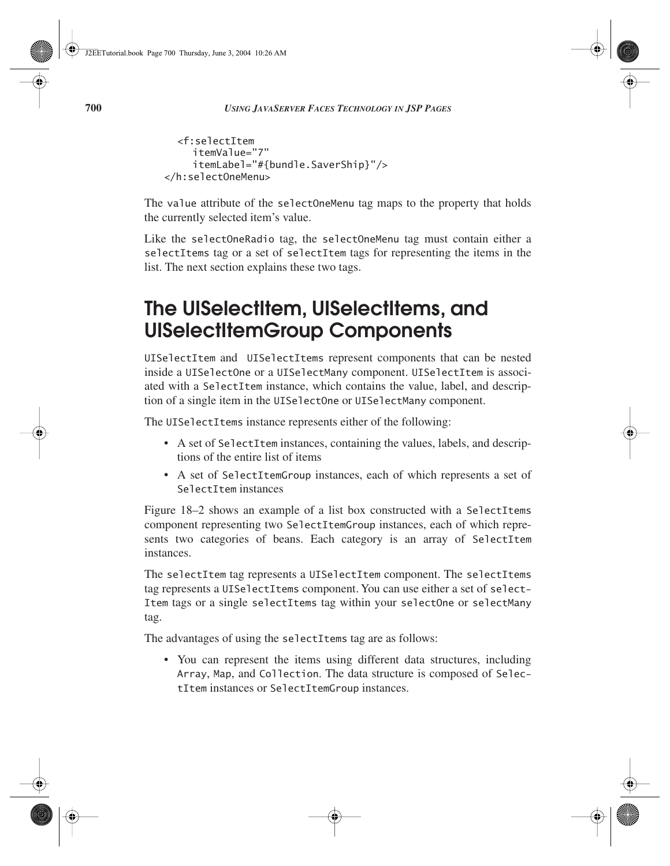```
<f:selectItem
    itemValue="7"
    itemLabel="#{bundle.SaverShip}"/> 
</h:selectOneMenu>
```
The value attribute of the selectOneMenu tag maps to the property that holds the currently selected item's value.

Like the selectOneRadio tag, the selectOneMenu tag must contain either a selectItems tag or a set of selectItem tags for representing the items in the list. The next section explains these two tags.

### **The UISelectItem, UISelectItems, and UISelectItemGroup Components**

UISelectItem and UISelectItems represent components that can be nested inside a UISelectOne or a UISelectMany component. UISelectItem is associated with a SelectItem instance, which contains the value, label, and description of a single item in the UISelectOne or UISelectMany component.

The UISelectItems instance represents either of the following:

- A set of SelectItem instances, containing the values, labels, and descriptions of the entire list of items
- A set of SelectItemGroup instances, each of which represents a set of SelectItem instances

Figure 18–2 shows an example of a list box constructed with a SelectItems component representing two SelectItemGroup instances, each of which represents two categories of beans. Each category is an array of SelectItem instances.

The selectItem tag represents a UISelectItem component. The selectItems tag represents a UISelectItems component. You can use either a set of select-Item tags or a single selectItems tag within your selectOne or selectMany tag.

The advantages of using the selectItems tag are as follows:

• You can represent the items using different data structures, including Array, Map, and Collection. The data structure is composed of SelectItem instances or SelectItemGroup instances.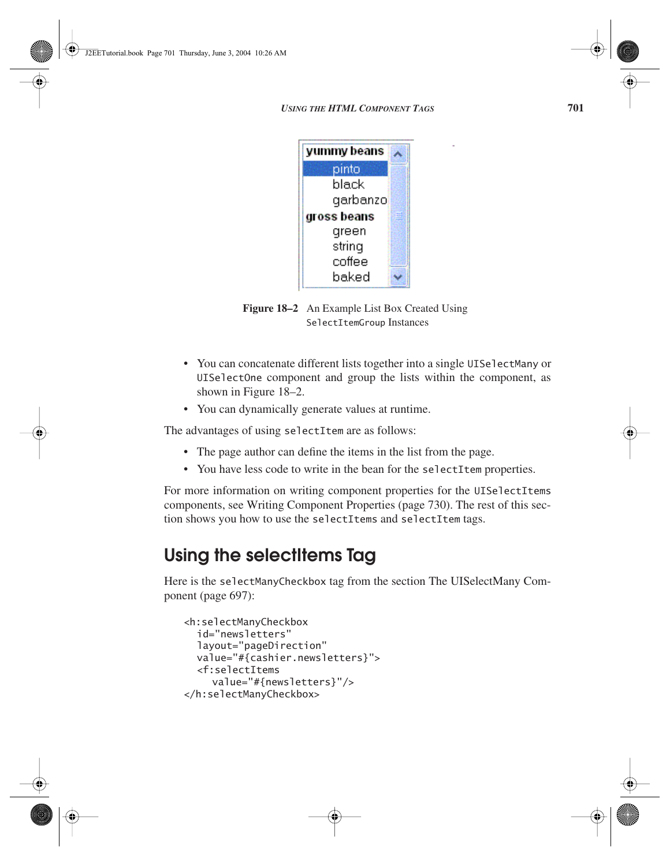### *USING THE HTML COMPONENT TAGS* **701**



**Figure 18–2** An Example List Box Created Using SelectItemGroup Instances

- You can concatenate different lists together into a single UISelectMany or UISelectOne component and group the lists within the component, as shown in Figure 18–2.
- You can dynamically generate values at runtime.

The advantages of using selectItem are as follows:

- The page author can define the items in the list from the page.
- You have less code to write in the bean for the selectItem properties.

For more information on writing component properties for the UISelectItems components, see Writing Component Properties (page 730). The rest of this section shows you how to use the selectItems and selectItem tags.

### **Using the selectItems Tag**

Here is the selectManyCheckbox tag from the section The UISelectMany Component (page 697):

```
<h:selectManyCheckbox
  id="newsletters"
  layout="pageDirection"
  value="#{cashier.newsletters}">
  <f:selectItems
     value="#{newsletters}"/>
</h:selectManyCheckbox>
```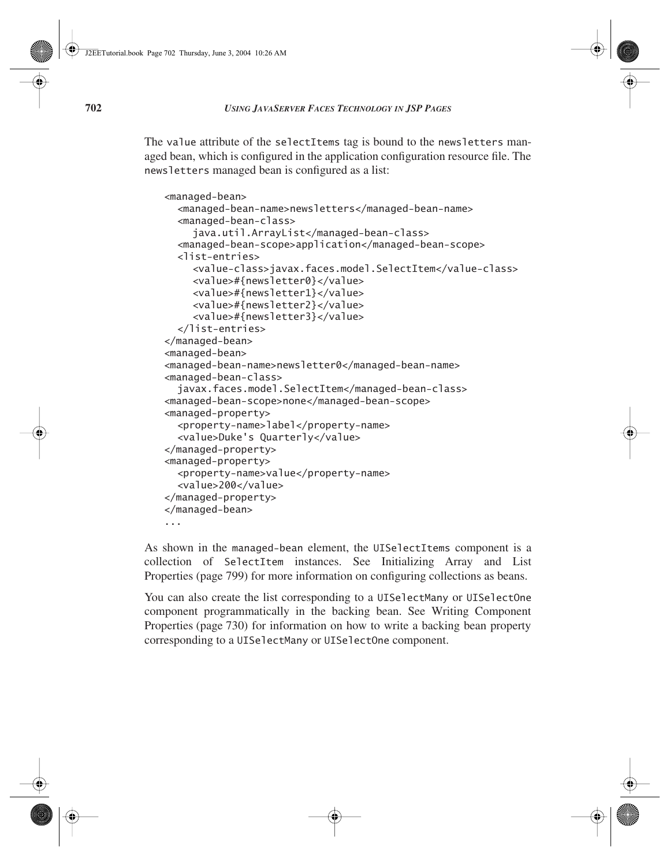The value attribute of the selectItems tag is bound to the newsletters managed bean, which is configured in the application configuration resource file. The newsletters managed bean is configured as a list:

```
<managed-bean>
  <managed-bean-name>newsletters</managed-bean-name>
  <managed-bean-class>
    java.util.ArrayList</managed-bean-class>
  <managed-bean-scope>application</managed-bean-scope>
  <list-entries>
    <value-class>javax.faces.model.SelectItem</value-class>
    <value>#{newsletter0}</value>
    <value>#{newsletter1}</value>
    <value>#{newsletter2}</value>
     <value>#{newsletter3}</value>
  </list-entries>
</managed-bean>
<managed-bean>
<managed-bean-name>newsletter0</managed-bean-name>
<managed-bean-class>
  javax.faces.model.SelectItem</managed-bean-class>
<managed-bean-scope>none</managed-bean-scope>
<managed-property>
  <property-name>label</property-name>
  <value>Duke's Quarterly</value>
</managed-property>
<managed-property>
  <property-name>value</property-name>
  <value>200</value>
</managed-property>
</managed-bean>
...
```
As shown in the managed-bean element, the UISelectItems component is a collection of SelectItem instances. See Initializing Array and List Properties (page 799) for more information on configuring collections as beans.

You can also create the list corresponding to a UISelectMany or UISelectOne component programmatically in the backing bean. See Writing Component Properties (page 730) for information on how to write a backing bean property corresponding to a UISelectMany or UISelectOne component.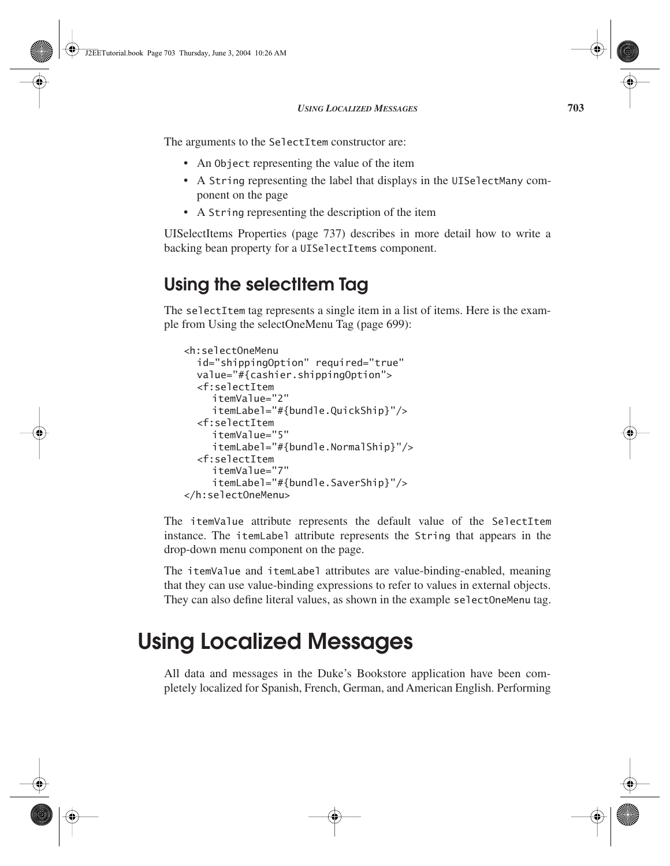The arguments to the SelectItem constructor are:

- An Object representing the value of the item
- A String representing the label that displays in the UISelectMany component on the page
- A String representing the description of the item

UISelectItems Properties (page 737) describes in more detail how to write a backing bean property for a UISelectItems component.

### **Using the selectItem Tag**

The selectItem tag represents a single item in a list of items. Here is the example from Using the selectOneMenu Tag (page 699):

```
<h:selectOneMenu 
  id="shippingOption" required="true" 
  value="#{cashier.shippingOption">
  <f:selectItem
    itemValue="2"
    itemLabel="#{bundle.QuickShip}"/>
  <f:selectItem
    itemValue="5"
    itemLabel="#{bundle.NormalShip}"/>
  <f:selectItem
    itemValue="7"
    itemLabel="#{bundle.SaverShip}"/> 
</h:selectOneMenu>
```
The itemValue attribute represents the default value of the SelectItem instance. The itemLabel attribute represents the String that appears in the drop-down menu component on the page.

The itemValue and itemLabel attributes are value-binding-enabled, meaning that they can use value-binding expressions to refer to values in external objects. They can also define literal values, as shown in the example selectOneMenu tag.

## **Using Localized Messages**

All data and messages in the Duke's Bookstore application have been completely localized for Spanish, French, German, and American English. Performing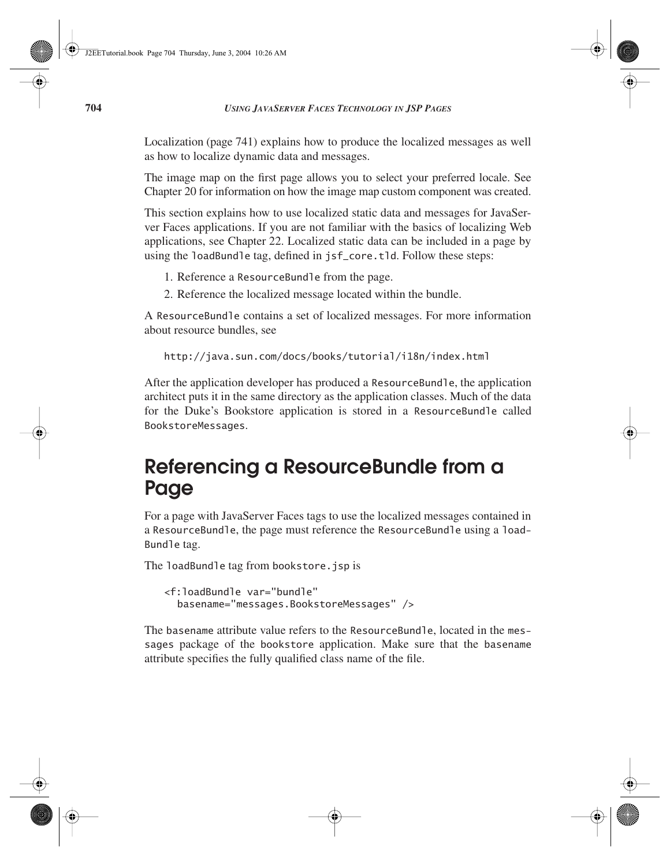Localization (page 741) explains how to produce the localized messages as well as how to localize dynamic data and messages.

The image map on the first page allows you to select your preferred locale. See Chapter 20 for information on how the image map custom component was created.

This section explains how to use localized static data and messages for JavaServer Faces applications. If you are not familiar with the basics of localizing Web applications, see Chapter 22. Localized static data can be included in a page by using the loadBundle tag, defined in jsf\_core.tld. Follow these steps:

- 1. Reference a ResourceBundle from the page.
- 2. Reference the localized message located within the bundle.

A ResourceBundle contains a set of localized messages. For more information about resource bundles, see

http://java.sun.com/docs/books/tutorial/i18n/index.html

After the application developer has produced a ResourceBundle, the application architect puts it in the same directory as the application classes. Much of the data for the Duke's Bookstore application is stored in a ResourceBundle called BookstoreMessages.

## **Referencing a ResourceBundle from a Page**

For a page with JavaServer Faces tags to use the localized messages contained in a ResourceBundle, the page must reference the ResourceBundle using a load-Bundle tag.

The loadBundle tag from bookstore.jsp is

```
<f:loadBundle var="bundle"
  basename="messages.BookstoreMessages" />
```
The basename attribute value refers to the ResourceBundle, located in the messages package of the bookstore application. Make sure that the basename attribute specifies the fully qualified class name of the file.

J2EETutorial.book Page 704 Thursday, June 3, 2004 10:26 AM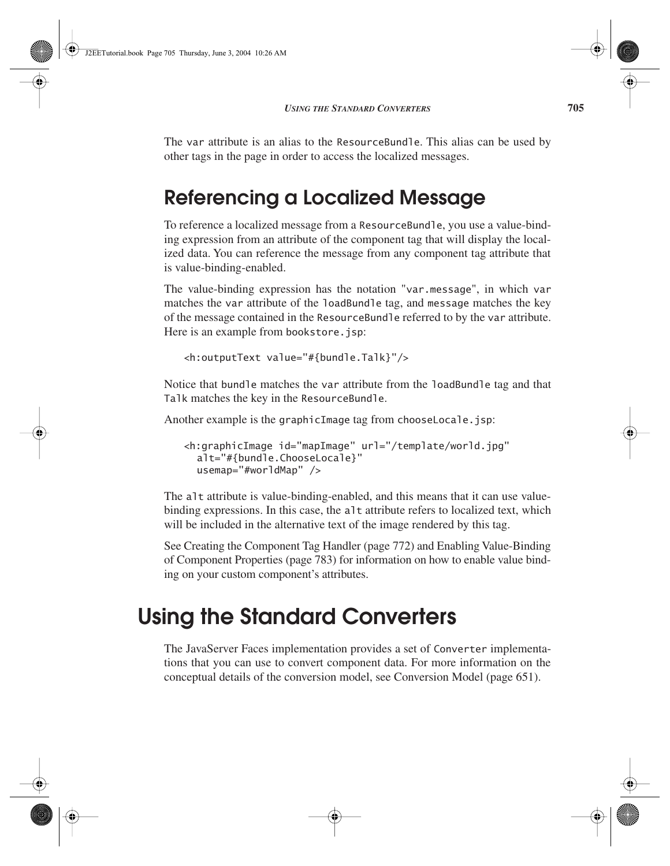*USING THE STANDARD CONVERTERS* **705**

The var attribute is an alias to the ResourceBundle. This alias can be used by other tags in the page in order to access the localized messages.

## **Referencing a Localized Message**

To reference a localized message from a ResourceBundle, you use a value-binding expression from an attribute of the component tag that will display the localized data. You can reference the message from any component tag attribute that is value-binding-enabled.

The value-binding expression has the notation "var.message", in which var matches the var attribute of the loadBundle tag, and message matches the key of the message contained in the ResourceBundle referred to by the var attribute. Here is an example from bookstore.jsp:

```
<h:outputText value="#{bundle.Talk}"/>
```
Notice that bundle matches the var attribute from the loadBundle tag and that Talk matches the key in the ResourceBundle.

Another example is the graphicImage tag from chooseLocale.jsp:

```
<h:graphicImage id="mapImage" url="/template/world.jpg" 
  alt="#{bundle.ChooseLocale}"
  usemap="#worldMap" />
```
The alt attribute is value-binding-enabled, and this means that it can use valuebinding expressions. In this case, the alt attribute refers to localized text, which will be included in the alternative text of the image rendered by this tag.

See Creating the Component Tag Handler (page 772) and Enabling Value-Binding of Component Properties (page 783) for information on how to enable value binding on your custom component's attributes.

## **Using the Standard Converters**

The JavaServer Faces implementation provides a set of Converter implementations that you can use to convert component data. For more information on the conceptual details of the conversion model, see Conversion Model (page 651).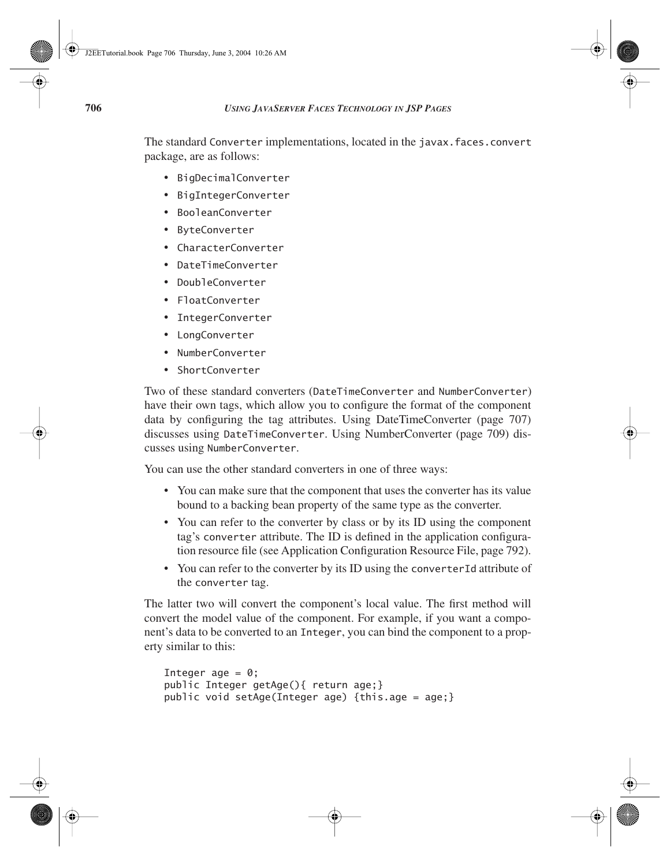The standard Converter implementations, located in the javax.faces.convert package, are as follows:

- BigDecimalConverter
- BigIntegerConverter
- BooleanConverter
- ByteConverter
- CharacterConverter
- DateTimeConverter
- DoubleConverter
- FloatConverter
- IntegerConverter
- LongConverter
- NumberConverter
- ShortConverter

Two of these standard converters (DateTimeConverter and NumberConverter) have their own tags, which allow you to configure the format of the component data by configuring the tag attributes. Using DateTimeConverter (page 707) discusses using DateTimeConverter. Using NumberConverter (page 709) discusses using NumberConverter.

You can use the other standard converters in one of three ways:

- You can make sure that the component that uses the converter has its value bound to a backing bean property of the same type as the converter.
- You can refer to the converter by class or by its ID using the component tag's converter attribute. The ID is defined in the application configuration resource file (see Application Configuration Resource File, page 792).
- You can refer to the converter by its ID using the converterId attribute of the converter tag.

The latter two will convert the component's local value. The first method will convert the model value of the component. For example, if you want a component's data to be converted to an Integer, you can bind the component to a property similar to this:

```
Integer age = 0;
public Integer getAge(){ return age;}
public void setAge(Integer age) {this.age = age;}
```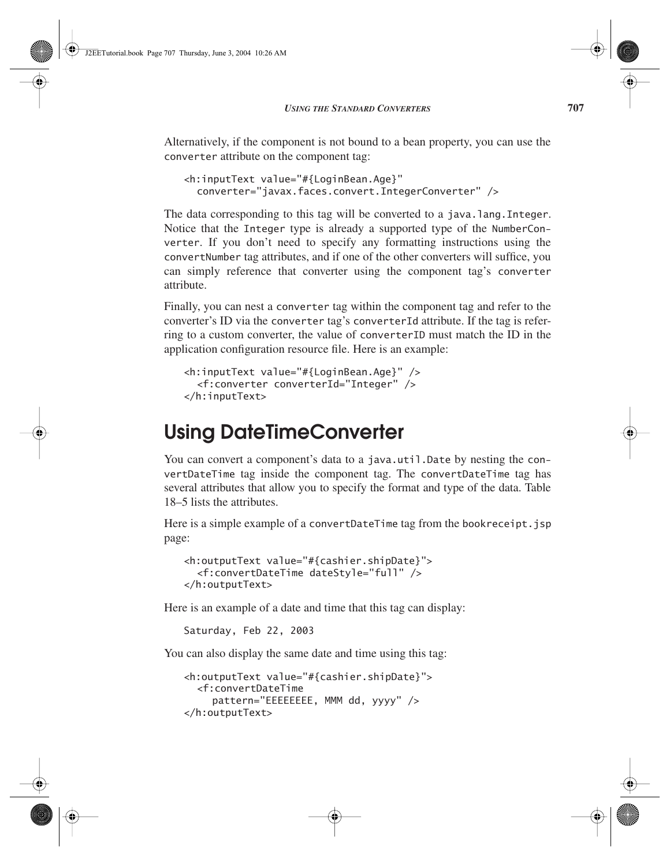Alternatively, if the component is not bound to a bean property, you can use the converter attribute on the component tag:

```
<h:inputText value="#{LoginBean.Age}"
  converter="javax.faces.convert.IntegerConverter" />
```
The data corresponding to this tag will be converted to a java.lang.Integer. Notice that the Integer type is already a supported type of the NumberConverter. If you don't need to specify any formatting instructions using the convertNumber tag attributes, and if one of the other converters will suffice, you can simply reference that converter using the component tag's converter attribute.

Finally, you can nest a converter tag within the component tag and refer to the converter's ID via the converter tag's converterId attribute. If the tag is referring to a custom converter, the value of converterID must match the ID in the application configuration resource file. Here is an example:

```
<h:inputText value="#{LoginBean.Age}" />
  <f:converter converterId="Integer" />
</h:inputText>
```
### **Using DateTimeConverter**

You can convert a component's data to a java.util.Date by nesting the convertDateTime tag inside the component tag. The convertDateTime tag has several attributes that allow you to specify the format and type of the data. Table 18–5 lists the attributes.

Here is a simple example of a convertDateTime tag from the bookreceipt.jsp page:

```
<h:outputText value="#{cashier.shipDate}">
  <f:convertDateTime dateStyle="full" />
</h:outputText>
```
Here is an example of a date and time that this tag can display:

Saturday, Feb 22, 2003

You can also display the same date and time using this tag:

```
<h:outputText value="#{cashier.shipDate}">
  <f:convertDateTime 
    pattern="EEEEEEEE, MMM dd, yyyy" />
</h:outputText>
```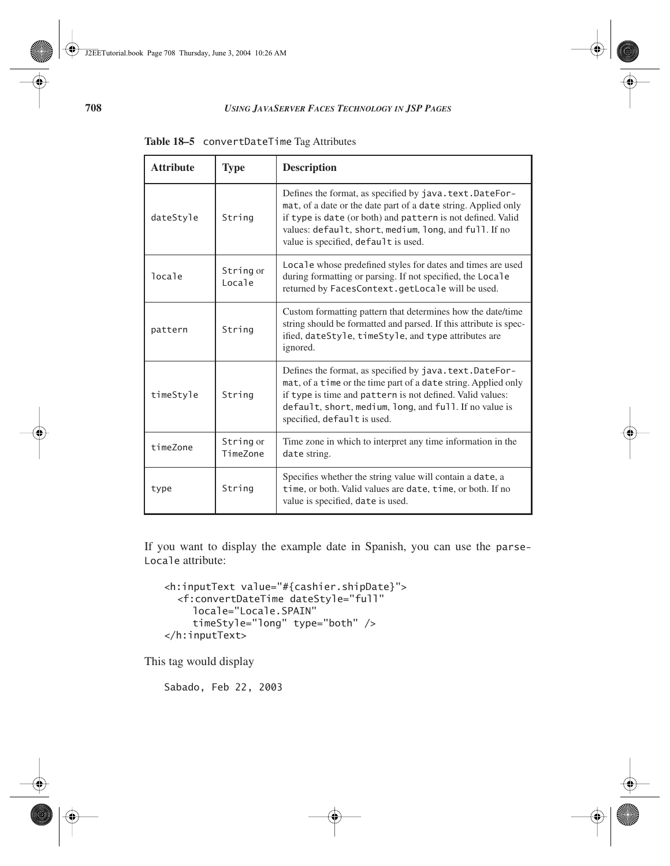| <b>Attribute</b> | <b>Type</b>           | <b>Description</b>                                                                                                                                                                                                                                                                       |
|------------------|-----------------------|------------------------------------------------------------------------------------------------------------------------------------------------------------------------------------------------------------------------------------------------------------------------------------------|
| dateStyle        | String                | Defines the format, as specified by java.text.DateFor-<br>mat, of a date or the date part of a date string. Applied only<br>if type is date (or both) and pattern is not defined. Valid<br>values: default, short, medium, long, and full. If no<br>value is specified, default is used. |
| locale           | String or<br>Locale   | Locale whose predefined styles for dates and times are used<br>during formatting or parsing. If not specified, the Locale<br>returned by FacesContext.getLocale will be used.                                                                                                            |
| pattern          | String                | Custom formatting pattern that determines how the date/time<br>string should be formatted and parsed. If this attribute is spec-<br>ified, dateStyle, timeStyle, and type attributes are<br>ignored.                                                                                     |
| timeStyle        | String                | Defines the format, as specified by java.text.DateFor-<br>mat, of a time or the time part of a date string. Applied only<br>if type is time and pattern is not defined. Valid values:<br>default, short, medium, long, and full. If no value is<br>specified, default is used.           |
| time7one         | String or<br>TimeZone | Time zone in which to interpret any time information in the<br>date string.                                                                                                                                                                                                              |
| type             | String                | Specifies whether the string value will contain a date, a<br>time, or both. Valid values are date, time, or both. If no<br>value is specified, date is used.                                                                                                                             |

**Table 18–5** convertDateTime Tag Attributes

If you want to display the example date in Spanish, you can use the parse-Locale attribute:

```
<h:inputText value="#{cashier.shipDate}">
  <f:convertDateTime dateStyle="full" 
     locale="Locale.SPAIN"
     timeStyle="long" type="both" />
</h:inputText>
```
This tag would display

Sabado, Feb 22, 2003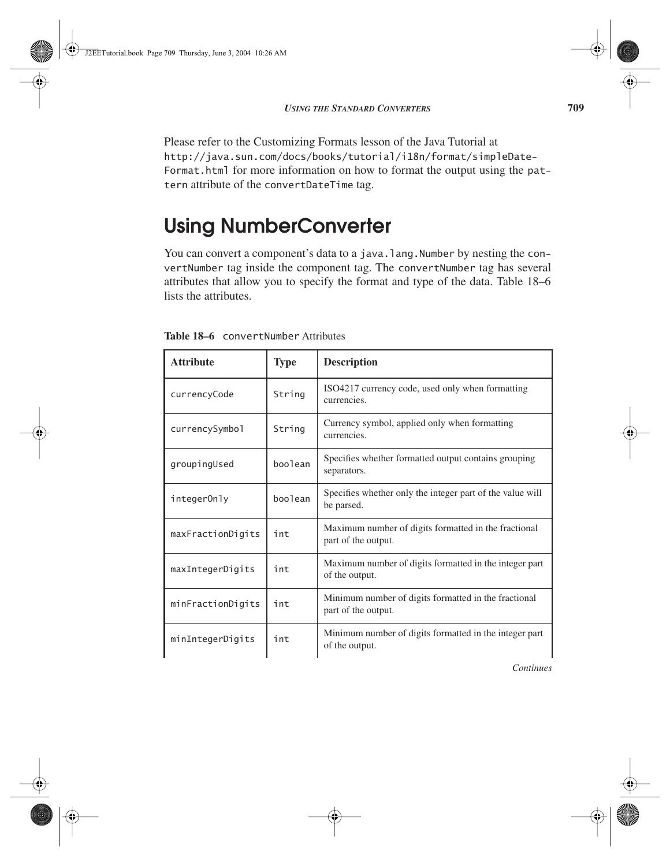### *USING THE STANDARD CONVERTERS* **709**

Please refer to the Customizing Formats lesson of the Java Tutorial at http://java.sun.com/docs/books/tutorial/i18n/format/simpleDate-Format.html for more information on how to format the output using the pattern attribute of the convertDateTime tag.

## **Using NumberConverter**

You can convert a component's data to a java.lang.Number by nesting the convertNumber tag inside the component tag. The convertNumber tag has several attributes that allow you to specify the format and type of the data. Table 18–6 lists the attributes.

| <b>Attribute</b>  | <b>Type</b> | <b>Description</b>                                                          |
|-------------------|-------------|-----------------------------------------------------------------------------|
| currencyCode      | String      | ISO4217 currency code, used only when formatting<br>currencies.             |
| currencySymbol    | String      | Currency symbol, applied only when formatting<br>currencies.                |
| groupingUsed      | boolean     | Specifies whether formatted output contains grouping<br>separators.         |
| integerOnly       | boolean     | Specifies whether only the integer part of the value will<br>be parsed.     |
| maxFractionDigits | int         | Maximum number of digits formatted in the fractional<br>part of the output. |
| maxIntegerDigits  | int         | Maximum number of digits formatted in the integer part<br>of the output.    |
| minFractionDigits | int         | Minimum number of digits formatted in the fractional<br>part of the output. |
| minIntegerDigits  | int         | Minimum number of digits formatted in the integer part<br>of the output.    |

**Table 18–6** convertNumber Attributes

*Continues*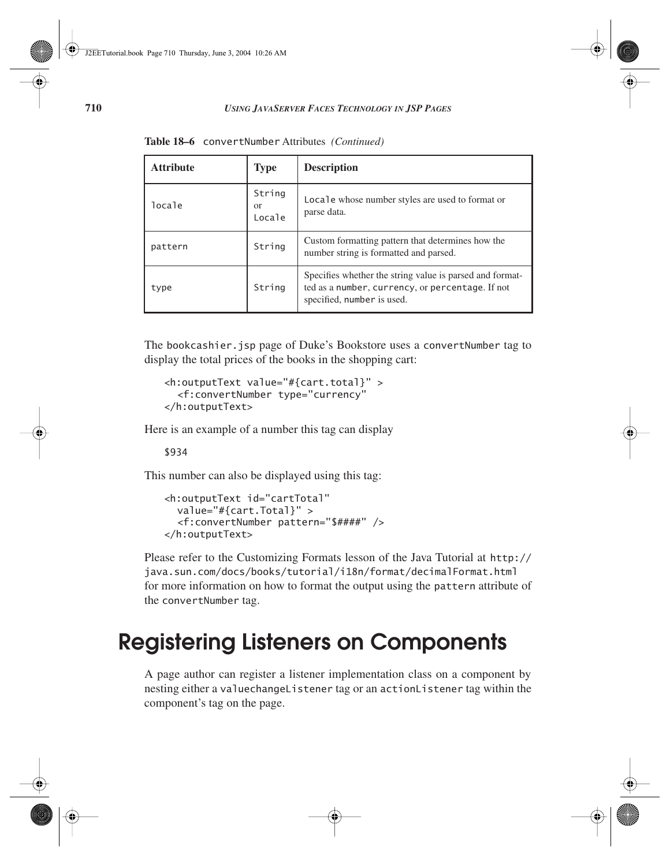|  | Table 18-6 convertNumber Attributes (Continued) |  |
|--|-------------------------------------------------|--|
|--|-------------------------------------------------|--|

| <b>Attribute</b> | <b>Type</b>            | <b>Description</b>                                                                                                                         |
|------------------|------------------------|--------------------------------------------------------------------------------------------------------------------------------------------|
| locale           | String<br>or<br>Locale | Locale whose number styles are used to format or<br>parse data.                                                                            |
| pattern          | String                 | Custom formatting pattern that determines how the<br>number string is formatted and parsed.                                                |
| type             | String                 | Specifies whether the string value is parsed and format-<br>ted as a number, currency, or percentage. If not<br>specified, number is used. |

The bookcashier.jsp page of Duke's Bookstore uses a convertNumber tag to display the total prices of the books in the shopping cart:

```
<h:outputText value="#{cart.total}" >
  <f:convertNumber type="currency"
</h:outputText>
```
Here is an example of a number this tag can display

\$934

This number can also be displayed using this tag:

```
<h:outputText id="cartTotal" 
  value="#{cart.Total}" >
  <f:convertNumber pattern="$####" />
</h:outputText>
```
Please refer to the Customizing Formats lesson of the Java Tutorial at http:// java.sun.com/docs/books/tutorial/i18n/format/decimalFormat.html for more information on how to format the output using the pattern attribute of the convertNumber tag.

## **Registering Listeners on Components**

A page author can register a listener implementation class on a component by nesting either a valuechangeListener tag or an actionListener tag within the component's tag on the page.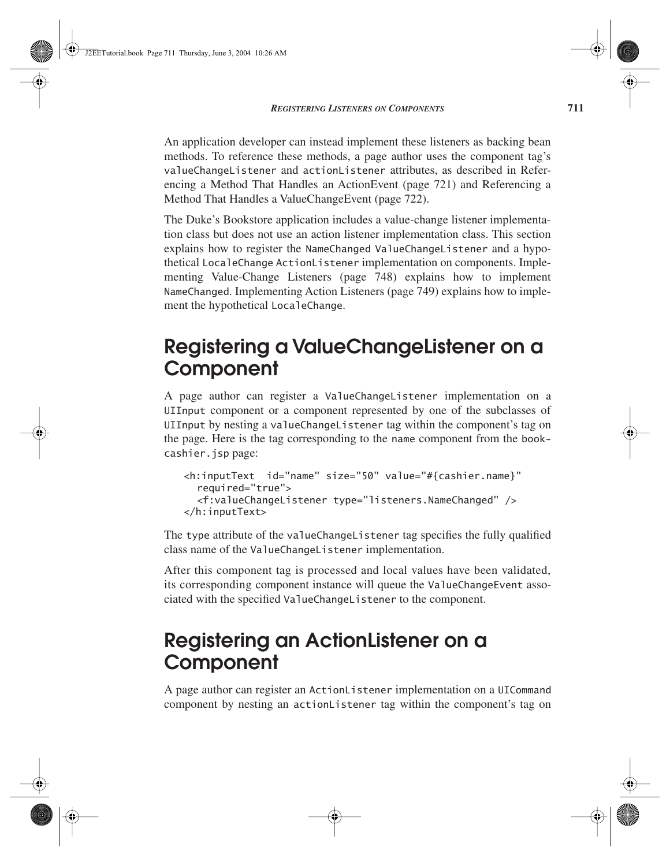#### *REGISTERING LISTENERS ON COMPONENTS* **711**

An application developer can instead implement these listeners as backing bean methods. To reference these methods, a page author uses the component tag's valueChangeListener and actionListener attributes, as described in Referencing a Method That Handles an ActionEvent (page 721) and Referencing a Method That Handles a ValueChangeEvent (page 722).

The Duke's Bookstore application includes a value-change listener implementation class but does not use an action listener implementation class. This section explains how to register the NameChanged ValueChangeListener and a hypothetical LocaleChange ActionListener implementation on components. Implementing Value-Change Listeners (page 748) explains how to implement NameChanged. Implementing Action Listeners (page 749) explains how to implement the hypothetical LocaleChange.

## **Registering a ValueChangeListener on a Component**

A page author can register a ValueChangeListener implementation on a UIInput component or a component represented by one of the subclasses of UIInput by nesting a valueChangeListener tag within the component's tag on the page. Here is the tag corresponding to the name component from the bookcashier.jsp page:

```
<h:inputText id="name" size="50" value="#{cashier.name}" 
  required="true"> 
  <f:valueChangeListener type="listeners.NameChanged" />
</h:inputText>
```
The type attribute of the valueChangeListener tag specifies the fully qualified class name of the ValueChangeListener implementation.

After this component tag is processed and local values have been validated, its corresponding component instance will queue the ValueChangeEvent associated with the specified ValueChangeListener to the component.

## **Registering an ActionListener on a Component**

A page author can register an ActionListener implementation on a UICommand component by nesting an actionListener tag within the component's tag on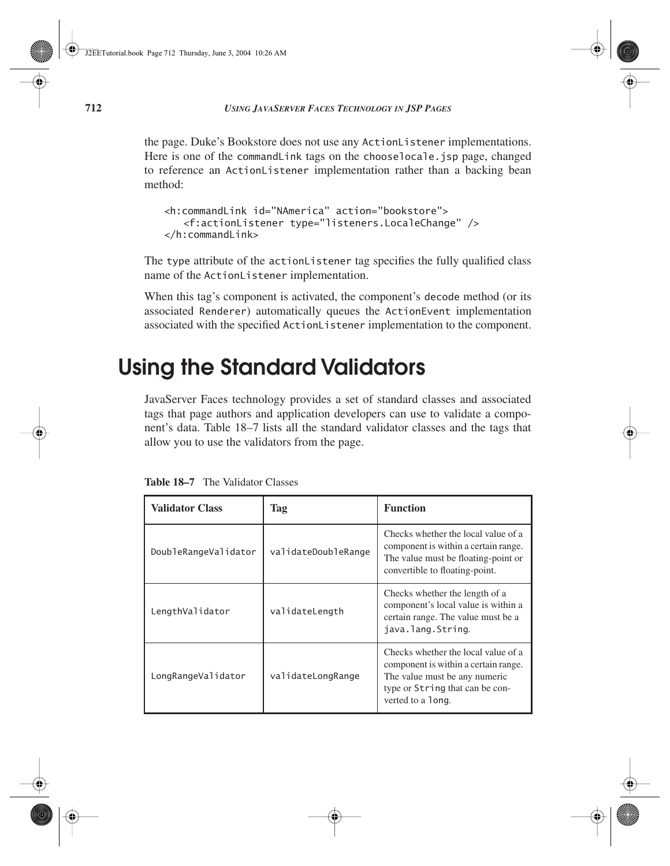the page. Duke's Bookstore does not use any ActionListener implementations. Here is one of the commandLink tags on the chooselocale.jsp page, changed to reference an ActionListener implementation rather than a backing bean method:

```
<h:commandLink id="NAmerica" action="bookstore">
    <f:actionListener type="listeners.LocaleChange" />
</h:commandLink>
```
The type attribute of the actionListener tag specifies the fully qualified class name of the ActionListener implementation.

When this tag's component is activated, the component's decode method (or its associated Renderer) automatically queues the ActionEvent implementation associated with the specified ActionListener implementation to the component.

## **Using the Standard Validators**

JavaServer Faces technology provides a set of standard classes and associated tags that page authors and application developers can use to validate a component's data. Table 18–7 lists all the standard validator classes and the tags that allow you to use the validators from the page.

| <b>Validator Class</b> | <b>Tag</b>          | <b>Function</b>                                                                                                                                                      |  |
|------------------------|---------------------|----------------------------------------------------------------------------------------------------------------------------------------------------------------------|--|
| DoubleRangeValidator   | validateDoubleRange | Checks whether the local value of a<br>component is within a certain range.<br>The value must be floating-point or<br>convertible to floating-point.                 |  |
| LengthValidator        | validateLength      | Checks whether the length of a<br>component's local value is within a<br>certain range. The value must be a<br>java.lang.String.                                     |  |
| LongRangeValidator     | validateLongRange   | Checks whether the local value of a<br>component is within a certain range.<br>The value must be any numeric<br>type or String that can be con-<br>verted to a 1ong. |  |

**Table 18–7** The Validator Classes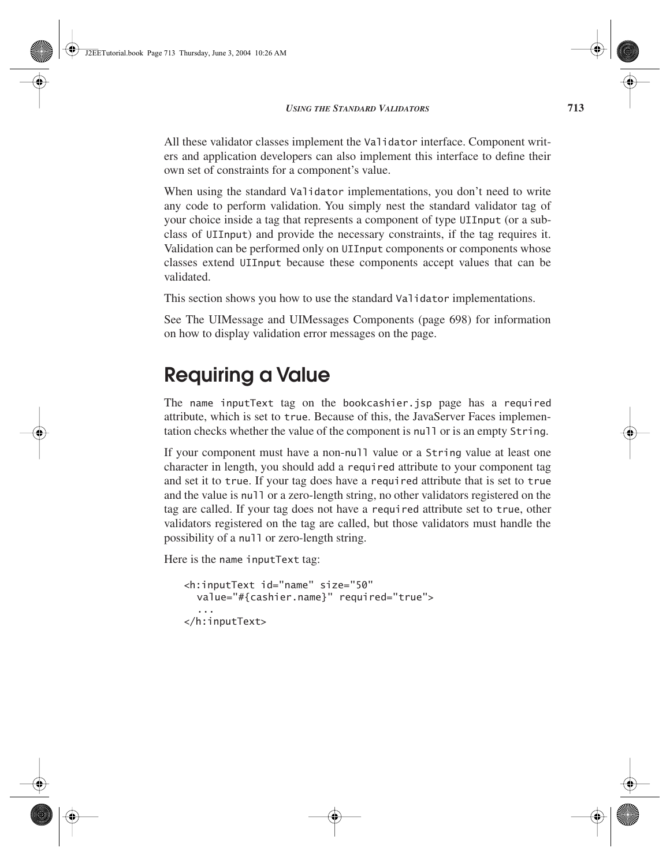*USING THE STANDARD VALIDATORS* **713**

All these validator classes implement the Validator interface. Component writers and application developers can also implement this interface to define their own set of constraints for a component's value.

When using the standard Validator implementations, you don't need to write any code to perform validation. You simply nest the standard validator tag of your choice inside a tag that represents a component of type UIInput (or a subclass of UIInput) and provide the necessary constraints, if the tag requires it. Validation can be performed only on UIInput components or components whose classes extend UIInput because these components accept values that can be validated.

This section shows you how to use the standard Validator implementations.

See The UIMessage and UIMessages Components (page 698) for information on how to display validation error messages on the page.

## **Requiring a Value**

The name inputText tag on the bookcashier.jsp page has a required attribute, which is set to true. Because of this, the JavaServer Faces implementation checks whether the value of the component is null or is an empty String.

If your component must have a non-null value or a String value at least one character in length, you should add a required attribute to your component tag and set it to true. If your tag does have a required attribute that is set to true and the value is null or a zero-length string, no other validators registered on the tag are called. If your tag does not have a required attribute set to true, other validators registered on the tag are called, but those validators must handle the possibility of a null or zero-length string.

Here is the name inputText tag:

```
<h:inputText id="name" size="50" 
  value="#{cashier.name}" required="true"> 
  ...
</h:inputText>
```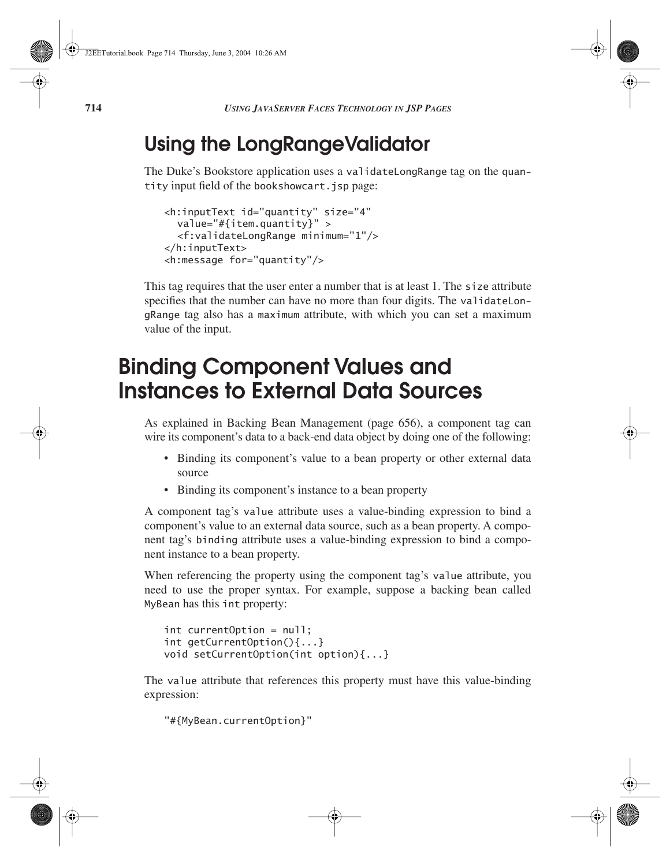## **Using the LongRangeValidator**

The Duke's Bookstore application uses a validateLongRange tag on the quantity input field of the bookshowcart.jsp page:

```
<h:inputText id="quantity" size="4" 
  value="#{item.quantity}" >
  <f:validateLongRange minimum="1"/>
</h:inputText>
<h:message for="quantity"/>
```
This tag requires that the user enter a number that is at least 1. The size attribute specifies that the number can have no more than four digits. The validateLongRange tag also has a maximum attribute, with which you can set a maximum value of the input.

## **Binding Component Values and Instances to External Data Sources**

As explained in Backing Bean Management (page 656), a component tag can wire its component's data to a back-end data object by doing one of the following:

- Binding its component's value to a bean property or other external data source
- Binding its component's instance to a bean property

A component tag's value attribute uses a value-binding expression to bind a component's value to an external data source, such as a bean property. A component tag's binding attribute uses a value-binding expression to bind a component instance to a bean property.

When referencing the property using the component tag's value attribute, you need to use the proper syntax. For example, suppose a backing bean called MyBean has this int property:

```
int currentOption = null;
int getCurrentOption(){...}
void setCurrentOption(int option){...}
```
The value attribute that references this property must have this value-binding expression:

"#{MyBean.currentOption}"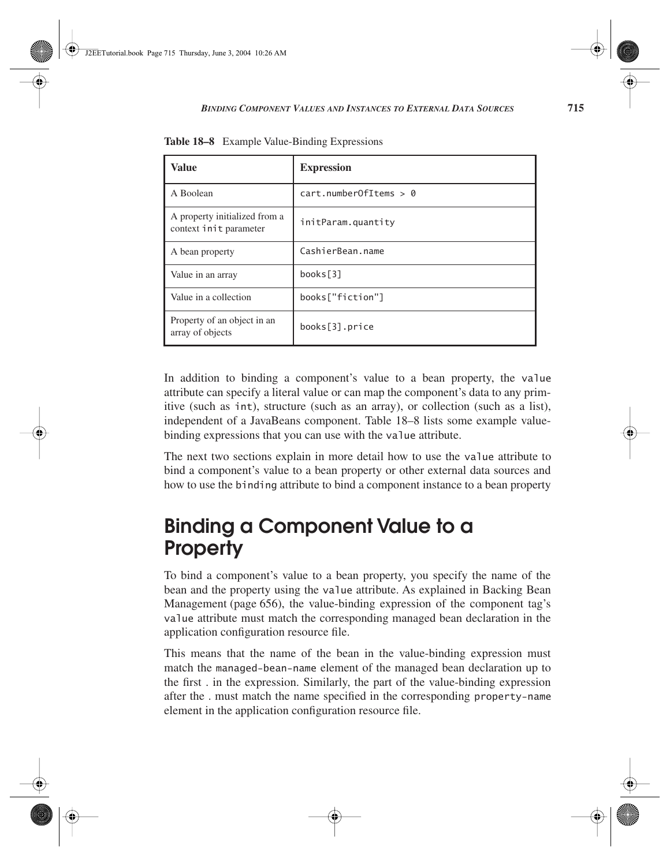### *BINDING COMPONENT VALUES AND INSTANCES TO EXTERNAL DATA SOURCES* **715**

| <b>Value</b>                                            | <b>Expression</b>        |
|---------------------------------------------------------|--------------------------|
| A Boolean                                               | $cart_numberOfItems > 0$ |
| A property initialized from a<br>context init parameter | initParam.quantity       |
| A bean property                                         | CashierBean.name         |
| Value in an array                                       | books[3]                 |
| Value in a collection                                   | books["fiction"]         |
| Property of an object in an<br>array of objects         | books[3].price           |

**Table 18–8** Example Value-Binding Expressions

In addition to binding a component's value to a bean property, the value attribute can specify a literal value or can map the component's data to any primitive (such as int), structure (such as an array), or collection (such as a list), independent of a JavaBeans component. Table 18–8 lists some example valuebinding expressions that you can use with the value attribute.

The next two sections explain in more detail how to use the value attribute to bind a component's value to a bean property or other external data sources and how to use the binding attribute to bind a component instance to a bean property

## **Binding a Component Value to a Property**

To bind a component's value to a bean property, you specify the name of the bean and the property using the value attribute. As explained in Backing Bean Management (page 656), the value-binding expression of the component tag's value attribute must match the corresponding managed bean declaration in the application configuration resource file.

This means that the name of the bean in the value-binding expression must match the managed-bean-name element of the managed bean declaration up to the first . in the expression. Similarly, the part of the value-binding expression after the . must match the name specified in the corresponding property-name element in the application configuration resource file.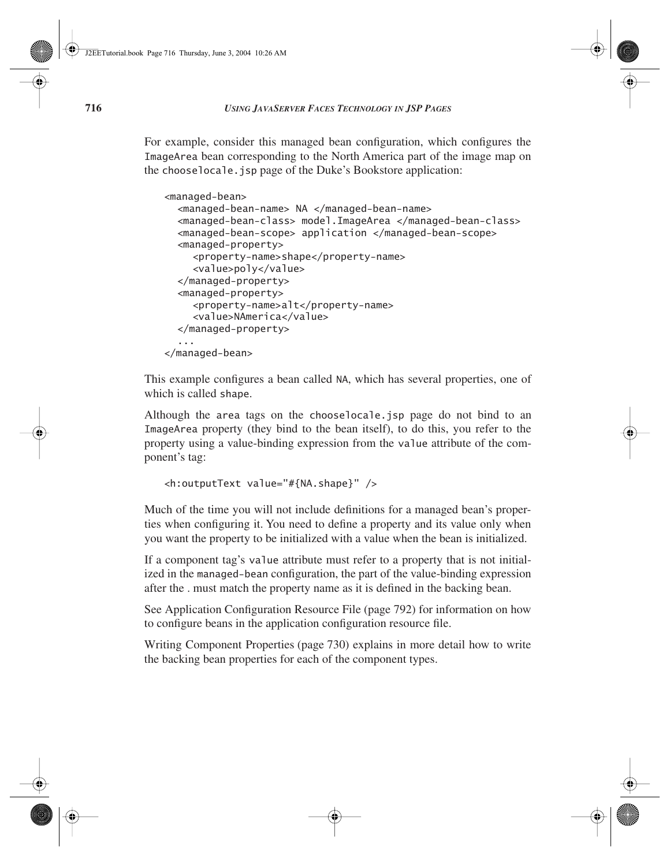For example, consider this managed bean configuration, which configures the ImageArea bean corresponding to the North America part of the image map on the chooselocale.jsp page of the Duke's Bookstore application:

```
<managed-bean>
  <managed-bean-name> NA </managed-bean-name>
  <managed-bean-class> model.ImageArea </managed-bean-class>
  <managed-bean-scope> application </managed-bean-scope>
  <managed-property>
    <property-name>shape</property-name>
    <value>poly</value>
  </managed-property>
  <managed-property>
    <property-name>alt</property-name>
     <value>NAmerica</value>
  </managed-property>
  ...
```

```
</managed-bean>
```
This example configures a bean called NA, which has several properties, one of which is called shape.

Although the area tags on the chooselocale.jsp page do not bind to an ImageArea property (they bind to the bean itself), to do this, you refer to the property using a value-binding expression from the value attribute of the component's tag:

```
<h:outputText value="#{NA.shape}" />
```
Much of the time you will not include definitions for a managed bean's properties when configuring it. You need to define a property and its value only when you want the property to be initialized with a value when the bean is initialized.

If a component tag's value attribute must refer to a property that is not initialized in the managed-bean configuration, the part of the value-binding expression after the . must match the property name as it is defined in the backing bean.

See Application Configuration Resource File (page 792) for information on how to configure beans in the application configuration resource file.

Writing Component Properties (page 730) explains in more detail how to write the backing bean properties for each of the component types.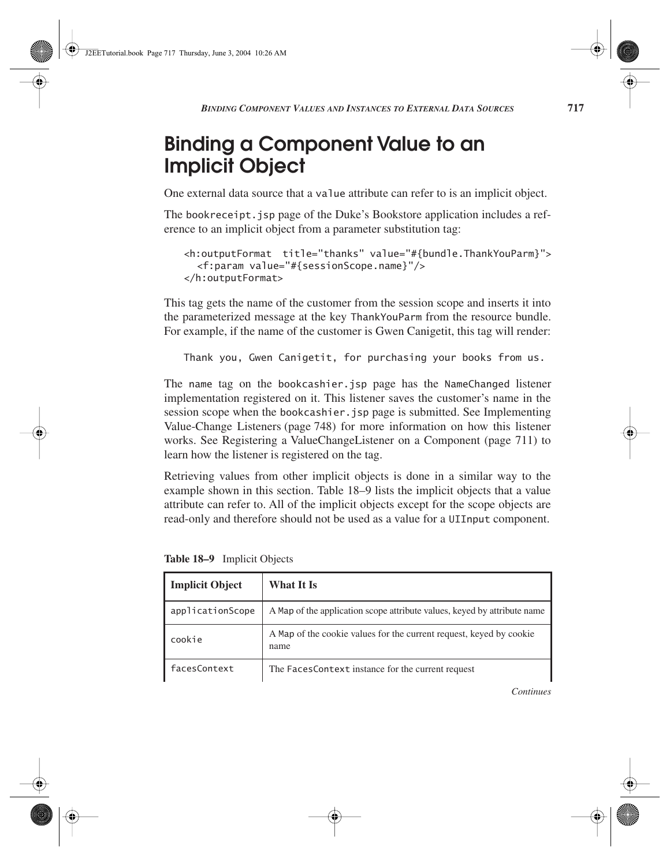*BINDING COMPONENT VALUES AND INSTANCES TO EXTERNAL DATA SOURCES* **717**

## **Binding a Component Value to an Implicit Object**

One external data source that a value attribute can refer to is an implicit object.

The bookreceipt.jsp page of the Duke's Bookstore application includes a reference to an implicit object from a parameter substitution tag:

```
<h:outputFormat title="thanks" value="#{bundle.ThankYouParm}">
  <f:param value="#{sessionScope.name}"/>
</h:outputFormat>
```
This tag gets the name of the customer from the session scope and inserts it into the parameterized message at the key ThankYouParm from the resource bundle. For example, if the name of the customer is Gwen Canigetit, this tag will render:

Thank you, Gwen Canigetit, for purchasing your books from us.

The name tag on the bookcashier.jsp page has the NameChanged listener implementation registered on it. This listener saves the customer's name in the session scope when the bookcashier.jsp page is submitted. See Implementing Value-Change Listeners (page 748) for more information on how this listener works. See Registering a ValueChangeListener on a Component (page 711) to learn how the listener is registered on the tag.

Retrieving values from other implicit objects is done in a similar way to the example shown in this section. Table 18–9 lists the implicit objects that a value attribute can refer to. All of the implicit objects except for the scope objects are read-only and therefore should not be used as a value for a UIInput component.

| <b>Implicit Object</b> | What It Is                                                                  |
|------------------------|-----------------------------------------------------------------------------|
| applicationScope       | A Map of the application scope attribute values, keyed by attribute name    |
| cookie                 | A Map of the cookie values for the current request, keyed by cookie<br>name |
| facesContext           | The FacesContext instance for the current request                           |

**Table 18–9** Implicit Objects

*Continues*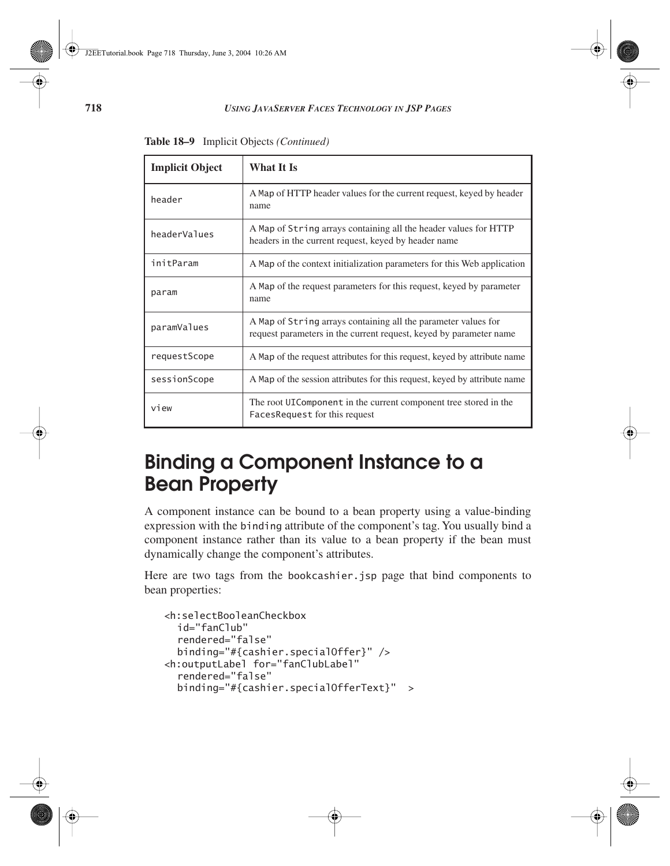| Table 18-9 Implicit Objects (Continued) |  |  |
|-----------------------------------------|--|--|
|                                         |  |  |

| <b>Implicit Object</b> | What It Is                                                                                                                           |
|------------------------|--------------------------------------------------------------------------------------------------------------------------------------|
| header                 | A Map of HTTP header values for the current request, keyed by header<br>name                                                         |
| headerValues           | A Map of String arrays containing all the header values for HTTP<br>headers in the current request, keyed by header name             |
| initParam              | A Map of the context initialization parameters for this Web application                                                              |
| param                  | A Map of the request parameters for this request, keyed by parameter<br>name                                                         |
| paramValues            | A Map of String arrays containing all the parameter values for<br>request parameters in the current request, keyed by parameter name |
| requestScope           | A Map of the request attributes for this request, keyed by attribute name                                                            |
| sessionScope           | A Map of the session attributes for this request, keyed by attribute name                                                            |
| view                   | The root UIComponent in the current component tree stored in the<br>FacesRequest for this request                                    |

## **Binding a Component Instance to a Bean Property**

A component instance can be bound to a bean property using a value-binding expression with the binding attribute of the component's tag. You usually bind a component instance rather than its value to a bean property if the bean must dynamically change the component's attributes.

Here are two tags from the bookcashier.jsp page that bind components to bean properties:

```
<h:selectBooleanCheckbox 
 id="fanClub"
  rendered="false"
  binding="#{cashier.specialOffer}" />
<h:outputLabel for="fanClubLabel"
  rendered="false"
  binding="#{cashier.specialOfferText}" >
```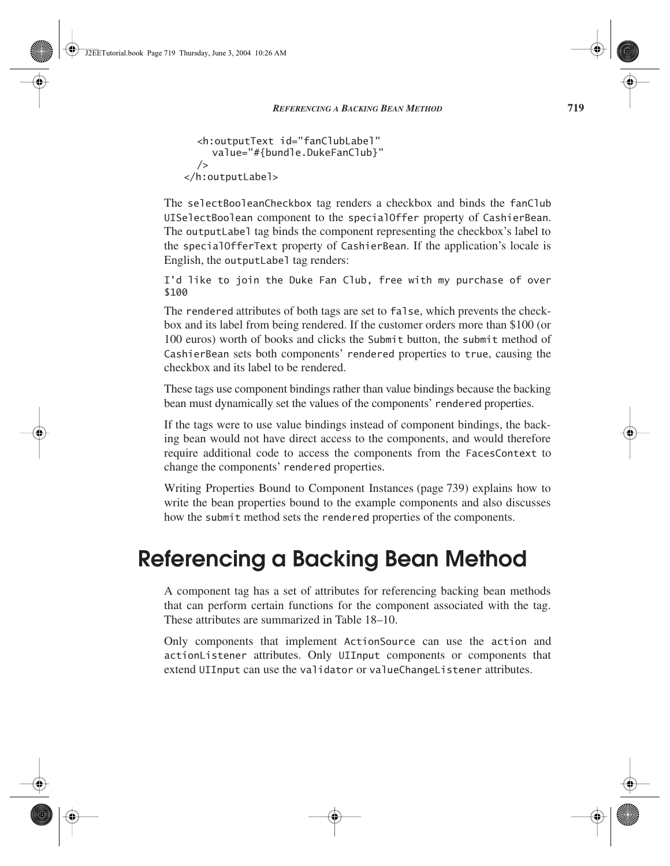*REFERENCING A BACKING BEAN METHOD* **719**

```
<h:outputText id="fanClubLabel"
    value="#{bundle.DukeFanClub}"
  /</h:outputLabel>
```
The selectBooleanCheckbox tag renders a checkbox and binds the fanClub UISelectBoolean component to the specialOffer property of CashierBean. The outputLabel tag binds the component representing the checkbox's label to the specialOfferText property of CashierBean. If the application's locale is English, the outputLabel tag renders:

I'd like to join the Duke Fan Club, free with my purchase of over \$100

The rendered attributes of both tags are set to false, which prevents the checkbox and its label from being rendered. If the customer orders more than \$100 (or 100 euros) worth of books and clicks the Submit button, the submit method of CashierBean sets both components' rendered properties to true, causing the checkbox and its label to be rendered.

These tags use component bindings rather than value bindings because the backing bean must dynamically set the values of the components' rendered properties.

If the tags were to use value bindings instead of component bindings, the backing bean would not have direct access to the components, and would therefore require additional code to access the components from the FacesContext to change the components' rendered properties.

Writing Properties Bound to Component Instances (page 739) explains how to write the bean properties bound to the example components and also discusses how the submit method sets the rendered properties of the components.

## **Referencing a Backing Bean Method**

A component tag has a set of attributes for referencing backing bean methods that can perform certain functions for the component associated with the tag. These attributes are summarized in Table 18–10.

Only components that implement ActionSource can use the action and actionListener attributes. Only UIInput components or components that extend UIInput can use the validator or valueChangeListener attributes.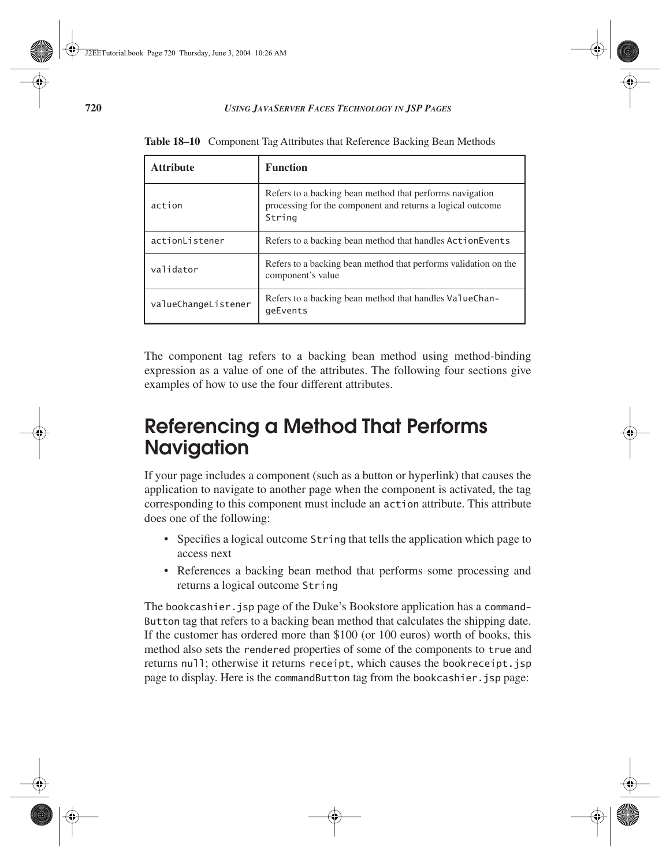| <b>Attribute</b>    | <b>Function</b>                                                                                                                  |
|---------------------|----------------------------------------------------------------------------------------------------------------------------------|
| action              | Refers to a backing bean method that performs navigation<br>processing for the component and returns a logical outcome<br>String |
| actionListener      | Refers to a backing bean method that handles Action Events                                                                       |
| validator           | Refers to a backing bean method that performs validation on the<br>component's value                                             |
| valueChangeListener | Refers to a backing bean method that handles ValueChan-<br>geEvents                                                              |

**Table 18–10** Component Tag Attributes that Reference Backing Bean Methods

The component tag refers to a backing bean method using method-binding expression as a value of one of the attributes. The following four sections give examples of how to use the four different attributes.

## **Referencing a Method That Performs Navigation**

If your page includes a component (such as a button or hyperlink) that causes the application to navigate to another page when the component is activated, the tag corresponding to this component must include an action attribute. This attribute does one of the following:

- Specifies a logical outcome String that tells the application which page to access next
- References a backing bean method that performs some processing and returns a logical outcome String

The bookcashier.jsp page of the Duke's Bookstore application has a command-Button tag that refers to a backing bean method that calculates the shipping date. If the customer has ordered more than \$100 (or 100 euros) worth of books, this method also sets the rendered properties of some of the components to true and returns null; otherwise it returns receipt, which causes the bookreceipt.jsp page to display. Here is the commandButton tag from the bookcashier.jsp page: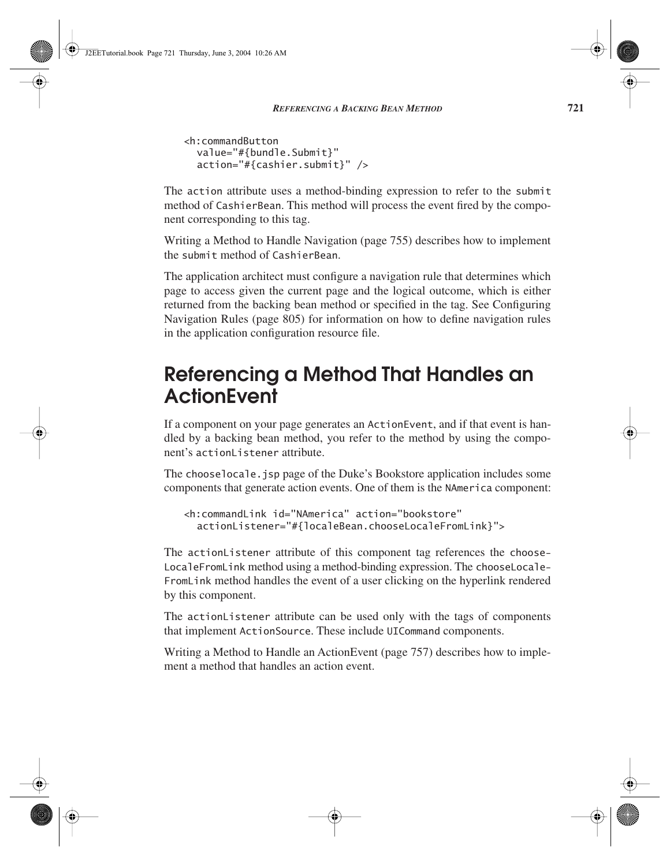*REFERENCING A BACKING BEAN METHOD* **721**

```
<h:commandButton
  value="#{bundle.Submit}"
  action="#{cashier.submit}" />
```
The action attribute uses a method-binding expression to refer to the submit method of CashierBean. This method will process the event fired by the component corresponding to this tag.

Writing a Method to Handle Navigation (page 755) describes how to implement the submit method of CashierBean.

The application architect must configure a navigation rule that determines which page to access given the current page and the logical outcome, which is either returned from the backing bean method or specified in the tag. See Configuring Navigation Rules (page 805) for information on how to define navigation rules in the application configuration resource file.

## **Referencing a Method That Handles an ActionEvent**

If a component on your page generates an ActionEvent, and if that event is handled by a backing bean method, you refer to the method by using the component's actionListener attribute.

The chooselocale.jsp page of the Duke's Bookstore application includes some components that generate action events. One of them is the NAmerica component:

```
<h:commandLink id="NAmerica" action="bookstore" 
  actionListener="#{localeBean.chooseLocaleFromLink}">
```
The actionListener attribute of this component tag references the choose-LocaleFromLink method using a method-binding expression. The chooseLocale-FromLink method handles the event of a user clicking on the hyperlink rendered by this component.

The actionListener attribute can be used only with the tags of components that implement ActionSource. These include UICommand components.

Writing a Method to Handle an ActionEvent (page 757) describes how to implement a method that handles an action event.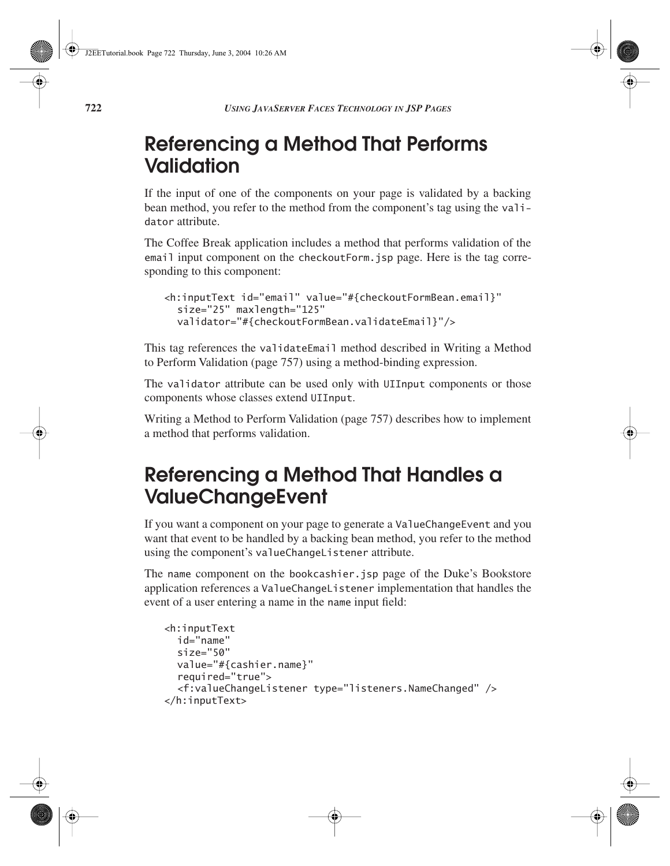## **Referencing a Method That Performs Validation**

If the input of one of the components on your page is validated by a backing bean method, you refer to the method from the component's tag using the validator attribute.

The Coffee Break application includes a method that performs validation of the email input component on the checkoutForm.jsp page. Here is the tag corresponding to this component:

```
<h:inputText id="email" value="#{checkoutFormBean.email}"
  size="25" maxlength="125"
  validator="#{checkoutFormBean.validateEmail}"/>
```
This tag references the validateEmail method described in Writing a Method to Perform Validation (page 757) using a method-binding expression.

The validator attribute can be used only with UIInput components or those components whose classes extend UIInput.

Writing a Method to Perform Validation (page 757) describes how to implement a method that performs validation.

## **Referencing a Method That Handles a ValueChangeEvent**

If you want a component on your page to generate a ValueChangeEvent and you want that event to be handled by a backing bean method, you refer to the method using the component's valueChangeListener attribute.

The name component on the bookcashier.jsp page of the Duke's Bookstore application references a ValueChangeListener implementation that handles the event of a user entering a name in the name input field:

```
<h:inputText 
  id="name" 
  size="50" 
  value="#{cashier.name}" 
  required="true">
  <f:valueChangeListener type="listeners.NameChanged" />
</h:inputText>
```
#### J2EETutorial.book Page 722 Thursday, June 3, 2004 10:26 AM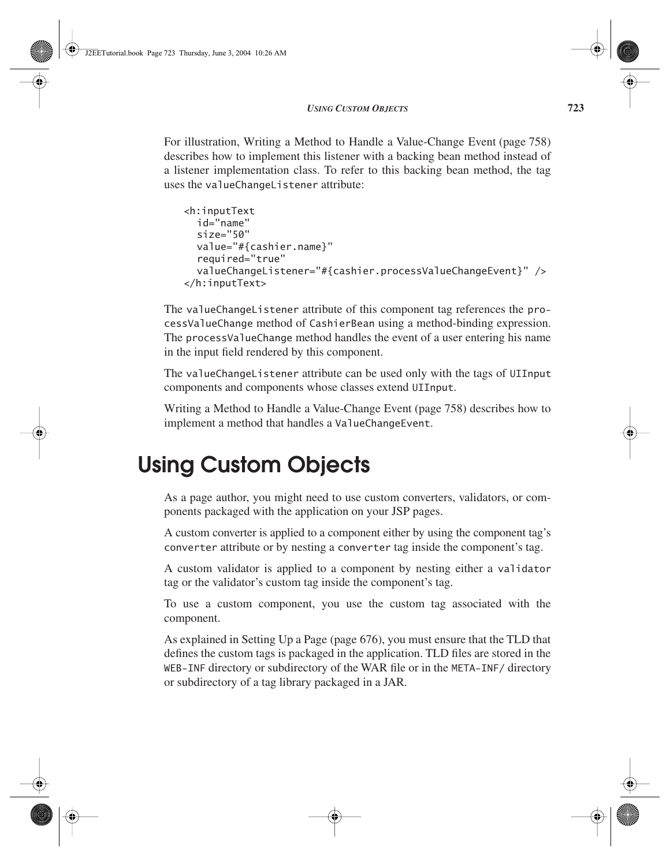*USING CUSTOM OBJECTS* **723**

For illustration, Writing a Method to Handle a Value-Change Event (page 758) describes how to implement this listener with a backing bean method instead of a listener implementation class. To refer to this backing bean method, the tag uses the valueChangeListener attribute:

```
<h:inputText 
  id="name" 
  size="50" 
  value="#{cashier.name}" 
  required="true"
  valueChangeListener="#{cashier.processValueChangeEvent}" />
</h:inputText>
```
The valueChangeListener attribute of this component tag references the processValueChange method of CashierBean using a method-binding expression. The processValueChange method handles the event of a user entering his name in the input field rendered by this component.

The valueChangeListener attribute can be used only with the tags of UIInput components and components whose classes extend UIInput.

Writing a Method to Handle a Value-Change Event (page 758) describes how to implement a method that handles a ValueChangeEvent.

## **Using Custom Objects**

As a page author, you might need to use custom converters, validators, or components packaged with the application on your JSP pages.

A custom converter is applied to a component either by using the component tag's converter attribute or by nesting a converter tag inside the component's tag.

A custom validator is applied to a component by nesting either a validator tag or the validator's custom tag inside the component's tag.

To use a custom component, you use the custom tag associated with the component.

As explained in Setting Up a Page (page 676), you must ensure that the TLD that defines the custom tags is packaged in the application. TLD files are stored in the WEB-INF directory or subdirectory of the WAR file or in the META-INF/ directory or subdirectory of a tag library packaged in a JAR.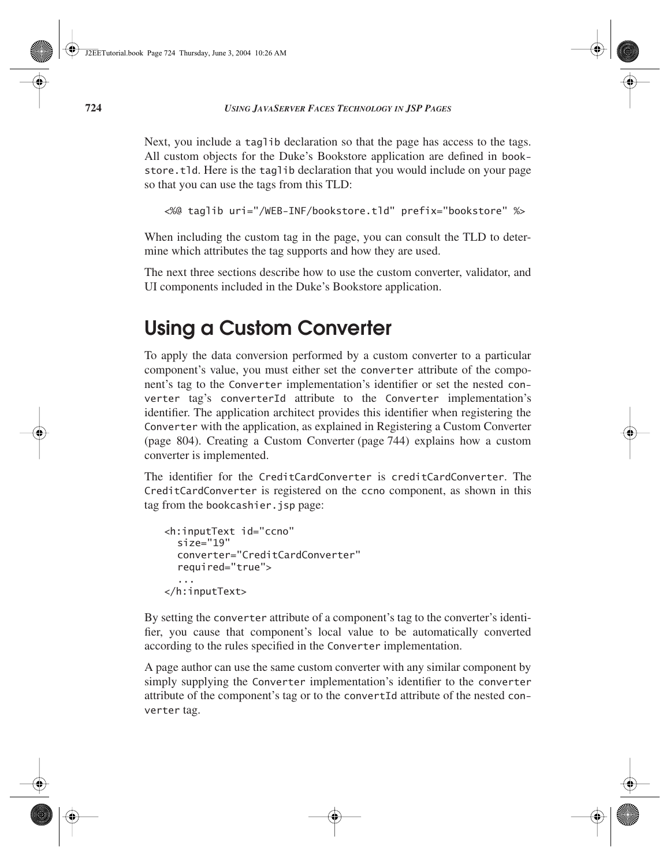Next, you include a taglib declaration so that the page has access to the tags. All custom objects for the Duke's Bookstore application are defined in bookstore.tld. Here is the taglib declaration that you would include on your page so that you can use the tags from this TLD:

<%@ taglib uri="/WEB-INF/bookstore.tld" prefix="bookstore" %>

When including the custom tag in the page, you can consult the TLD to determine which attributes the tag supports and how they are used.

The next three sections describe how to use the custom converter, validator, and UI components included in the Duke's Bookstore application.

### **Using a Custom Converter**

To apply the data conversion performed by a custom converter to a particular component's value, you must either set the converter attribute of the component's tag to the Converter implementation's identifier or set the nested converter tag's converterId attribute to the Converter implementation's identifier. The application architect provides this identifier when registering the Converter with the application, as explained in Registering a Custom Converter (page 804). Creating a Custom Converter (page 744) explains how a custom converter is implemented.

The identifier for the CreditCardConverter is creditCardConverter. The CreditCardConverter is registered on the ccno component, as shown in this tag from the bookcashier.jsp page:

```
<h:inputText id="ccno"
  size="19"
  converter="CreditCardConverter"
  required="true">
  ...
</h:inputText>
```
By setting the converter attribute of a component's tag to the converter's identifier, you cause that component's local value to be automatically converted according to the rules specified in the Converter implementation.

A page author can use the same custom converter with any similar component by simply supplying the Converter implementation's identifier to the converter attribute of the component's tag or to the convertId attribute of the nested converter tag.

J2EETutorial.book Page 724 Thursday, June 3, 2004 10:26 AM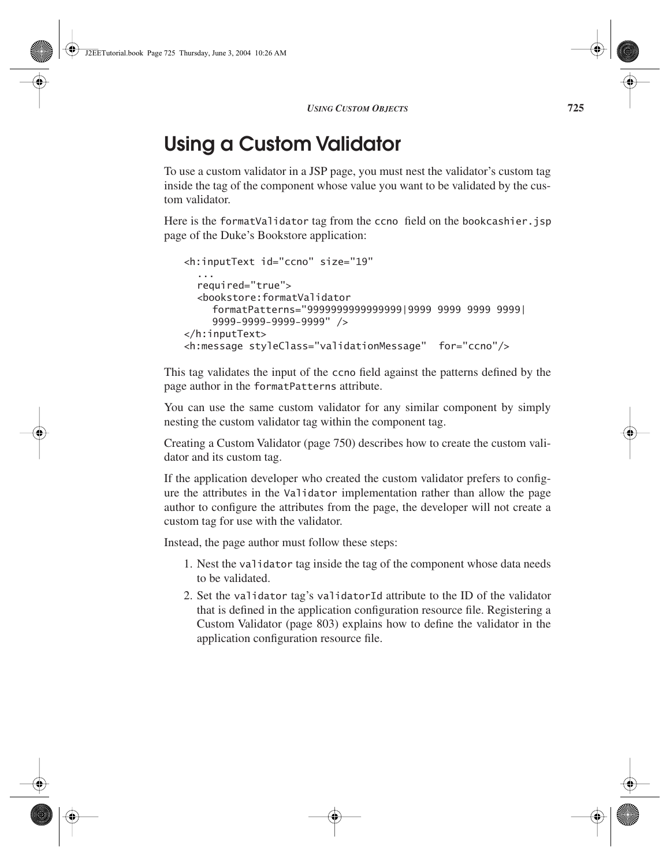*USING CUSTOM OBJECTS* **725**

### **Using a Custom Validator**

To use a custom validator in a JSP page, you must nest the validator's custom tag inside the tag of the component whose value you want to be validated by the custom validator.

Here is the formatValidator tag from the ccno field on the bookcashier.jsp page of the Duke's Bookstore application:

```
<h:inputText id="ccno" size="19"
  ...
  required="true">
  <bookstore:formatValidator 
    formatPatterns="9999999999999999|9999 9999 9999 9999|
    9999-9999-9999-9999" />
</h:inputText>
<h:message styleClass="validationMessage" for="ccno"/>
```
This tag validates the input of the ccno field against the patterns defined by the page author in the formatPatterns attribute.

You can use the same custom validator for any similar component by simply nesting the custom validator tag within the component tag.

Creating a Custom Validator (page 750) describes how to create the custom validator and its custom tag.

If the application developer who created the custom validator prefers to configure the attributes in the Validator implementation rather than allow the page author to configure the attributes from the page, the developer will not create a custom tag for use with the validator.

Instead, the page author must follow these steps:

- 1. Nest the validator tag inside the tag of the component whose data needs to be validated.
- 2. Set the validator tag's validatorId attribute to the ID of the validator that is defined in the application configuration resource file. Registering a Custom Validator (page 803) explains how to define the validator in the application configuration resource file.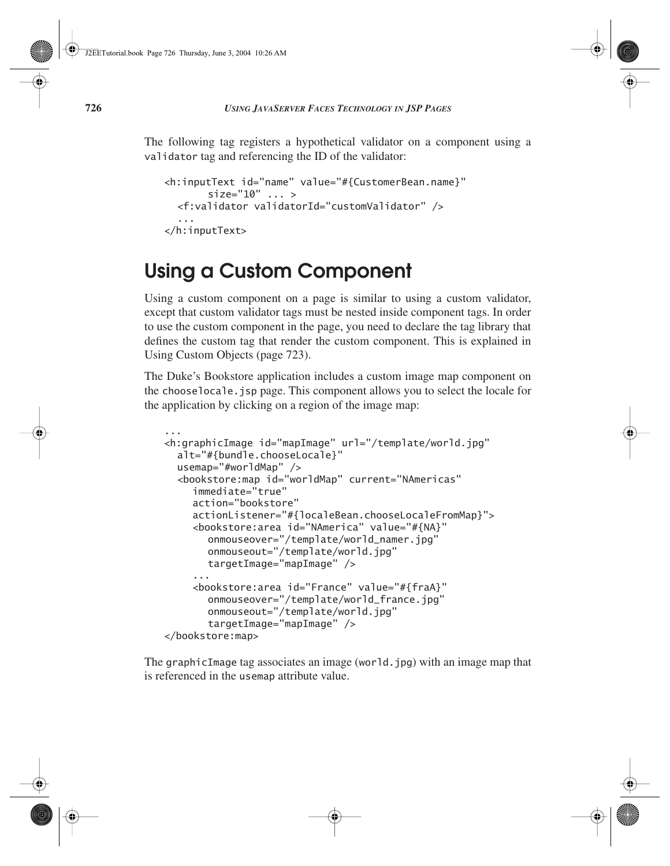The following tag registers a hypothetical validator on a component using a validator tag and referencing the ID of the validator:

```
<h:inputText id="name" value="#{CustomerBean.name}"
       size="10" ... >
  <f:validator validatorId="customValidator" />
  ...
</h:inputText>
```
## **Using a Custom Component**

Using a custom component on a page is similar to using a custom validator, except that custom validator tags must be nested inside component tags. In order to use the custom component in the page, you need to declare the tag library that defines the custom tag that render the custom component. This is explained in Using Custom Objects (page 723).

The Duke's Bookstore application includes a custom image map component on the chooselocale.jsp page. This component allows you to select the locale for the application by clicking on a region of the image map:

```
...
<h:graphicImage id="mapImage" url="/template/world.jpg"
  alt="#{bundle.chooseLocale}"
  usemap="#worldMap" />
  <bookstore:map id="worldMap" current="NAmericas" 
    immediate="true"
    action="bookstore"
    actionListener="#{localeBean.chooseLocaleFromMap}">
    <bookstore:area id="NAmerica" value="#{NA}" 
       onmouseover="/template/world_namer.jpg" 
       onmouseout="/template/world.jpg"
       targetImage="mapImage" />
     ...
    <bookstore:area id="France" value="#{fraA}" 
       onmouseover="/template/world_france.jpg" 
       onmouseout="/template/world.jpg"
       targetImage="mapImage" />
</bookstore:map>
```
The graphicImage tag associates an image (world.jpg) with an image map that is referenced in the usemap attribute value.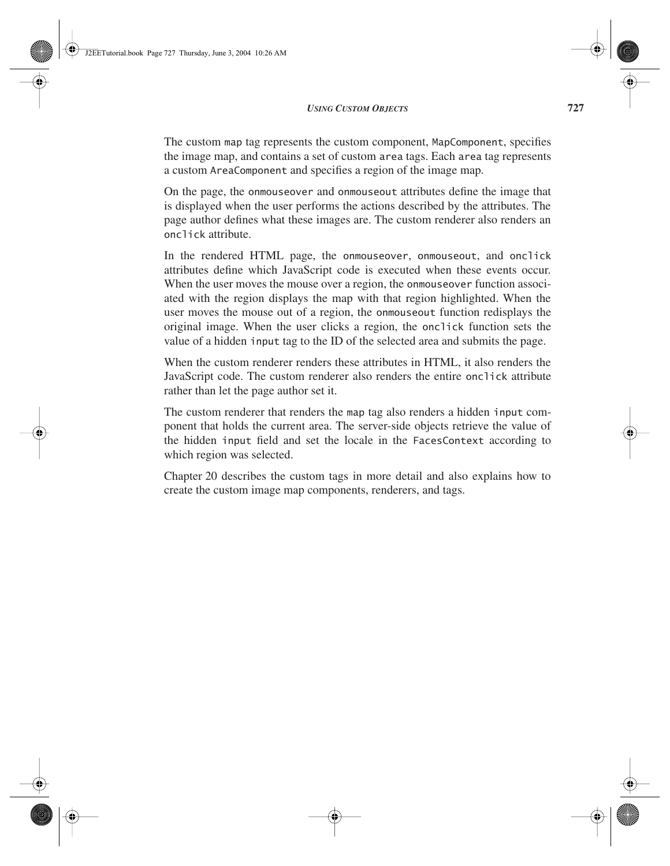### *USING CUSTOM OBJECTS* **727**

The custom map tag represents the custom component, MapComponent, specifies the image map, and contains a set of custom area tags. Each area tag represents a custom AreaComponent and specifies a region of the image map.

On the page, the onmouseover and onmouseout attributes define the image that is displayed when the user performs the actions described by the attributes. The page author defines what these images are. The custom renderer also renders an onclick attribute.

In the rendered HTML page, the onmouseover, onmouseout, and onclick attributes define which JavaScript code is executed when these events occur. When the user moves the mouse over a region, the onmouseover function associated with the region displays the map with that region highlighted. When the user moves the mouse out of a region, the onmouseout function redisplays the original image. When the user clicks a region, the onclick function sets the value of a hidden input tag to the ID of the selected area and submits the page.

When the custom renderer renders these attributes in HTML, it also renders the JavaScript code. The custom renderer also renders the entire onclick attribute rather than let the page author set it.

The custom renderer that renders the map tag also renders a hidden input component that holds the current area. The server-side objects retrieve the value of the hidden input field and set the locale in the FacesContext according to which region was selected.

Chapter 20 describes the custom tags in more detail and also explains how to create the custom image map components, renderers, and tags.